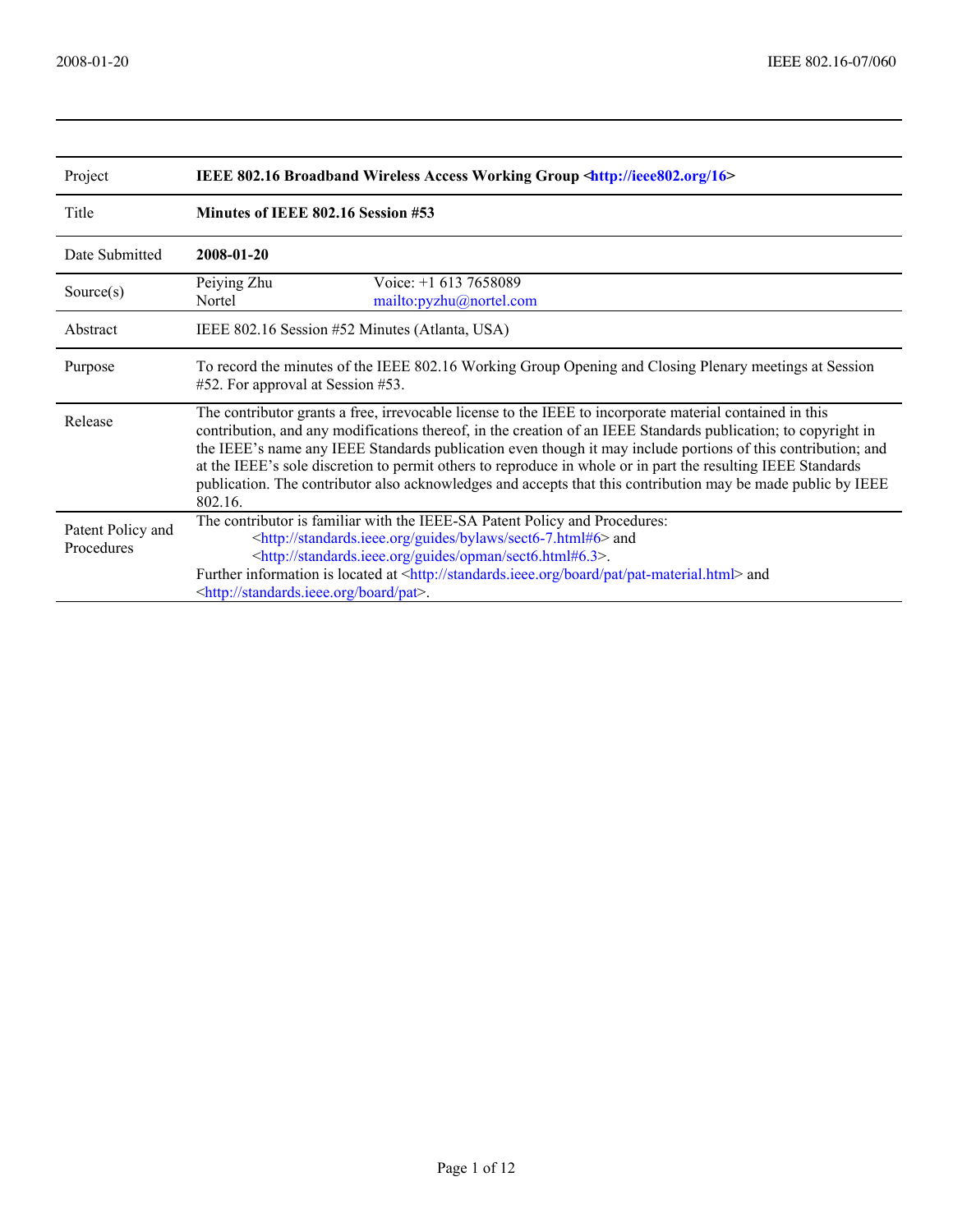| Project                         | IEEE 802.16 Broadband Wireless Access Working Group <http: 16="" ieee802.org=""></http:>                                                                                                                                                                                                                                                                                                                                                                                                                                                                                             |  |  |  |  |
|---------------------------------|--------------------------------------------------------------------------------------------------------------------------------------------------------------------------------------------------------------------------------------------------------------------------------------------------------------------------------------------------------------------------------------------------------------------------------------------------------------------------------------------------------------------------------------------------------------------------------------|--|--|--|--|
| Title                           | Minutes of IEEE 802.16 Session #53                                                                                                                                                                                                                                                                                                                                                                                                                                                                                                                                                   |  |  |  |  |
| Date Submitted                  | 2008-01-20                                                                                                                                                                                                                                                                                                                                                                                                                                                                                                                                                                           |  |  |  |  |
| Source $(s)$                    | Peiying Zhu<br>Voice: $+1$ 613 7658089<br>Nortel<br>mailto:pyzhu@nortel.com                                                                                                                                                                                                                                                                                                                                                                                                                                                                                                          |  |  |  |  |
| Abstract                        | IEEE 802.16 Session #52 Minutes (Atlanta, USA)                                                                                                                                                                                                                                                                                                                                                                                                                                                                                                                                       |  |  |  |  |
| Purpose                         | To record the minutes of the IEEE 802.16 Working Group Opening and Closing Plenary meetings at Session<br>#52. For approval at Session #53.                                                                                                                                                                                                                                                                                                                                                                                                                                          |  |  |  |  |
| Release                         | The contributor grants a free, irrevocable license to the IEEE to incorporate material contained in this<br>contribution, and any modifications thereof, in the creation of an IEEE Standards publication; to copyright in<br>the IEEE's name any IEEE Standards publication even though it may include portions of this contribution; and<br>at the IEEE's sole discretion to permit others to reproduce in whole or in part the resulting IEEE Standards<br>publication. The contributor also acknowledges and accepts that this contribution may be made public by IEEE<br>802.16 |  |  |  |  |
| Patent Policy and<br>Procedures | The contributor is familiar with the IEEE-SA Patent Policy and Procedures:<br><http: bylaws="" guides="" sect6-7.html#6="" standards.ieee.org=""> and<br/><http: guides="" opman="" sect6.html#6.3="" standards.ieee.org="">.<br/>Further information is located at <http: board="" pat="" pat-material.html="" standards.ieee.org=""> and<br/><http: board="" pat="" standards.ieee.org="">.</http:></http:></http:></http:>                                                                                                                                                        |  |  |  |  |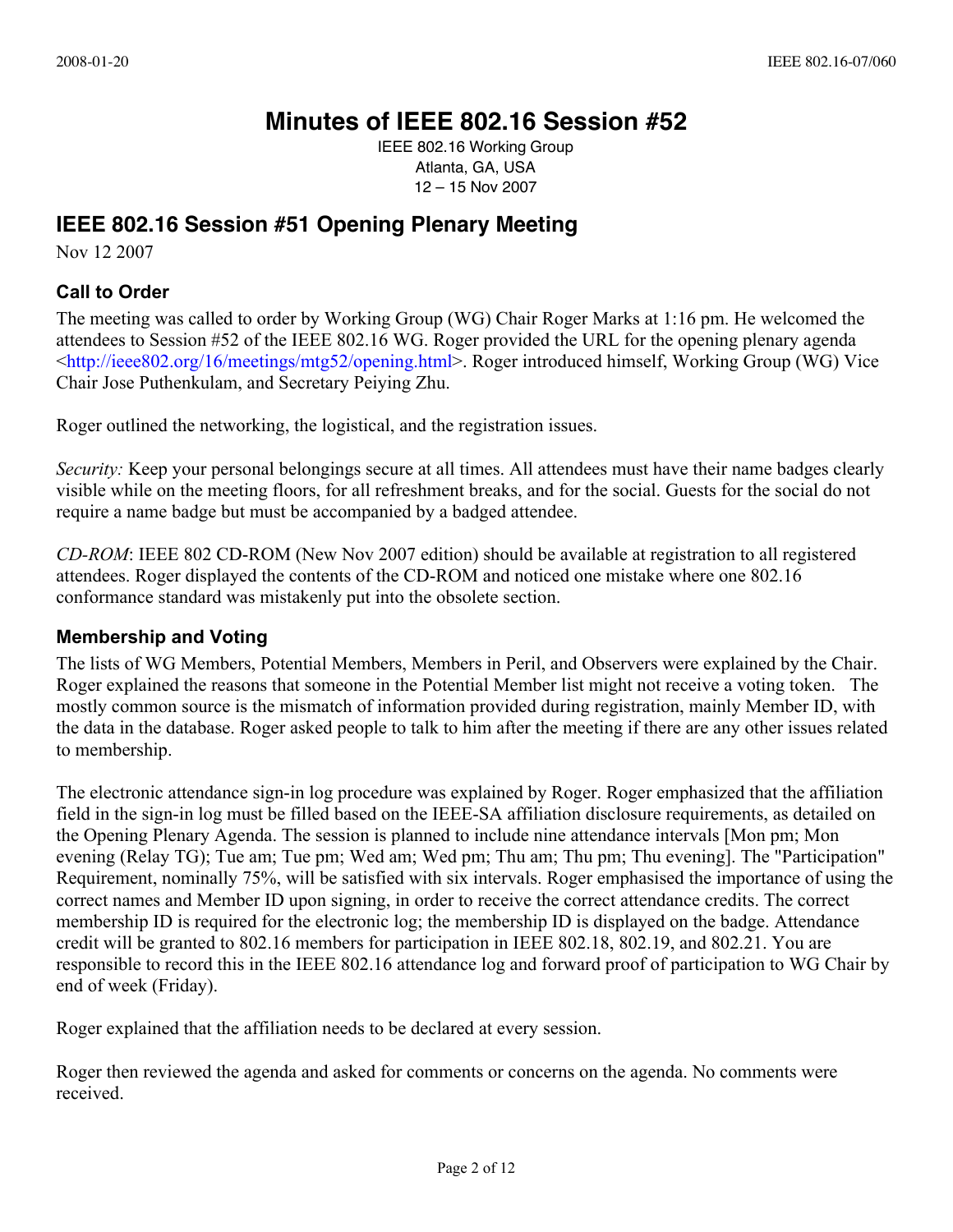## **Minutes of IEEE 802.16 Session #52**

IEEE 802.16 Working Group Atlanta, GA, USA 12 – 15 Nov 2007

## **IEEE 802.16 Session #51 Opening Plenary Meeting**

Nov 12 2007

## **Call to Order**

The meeting was called to order by Working Group (WG) Chair Roger Marks at 1:16 pm. He welcomed the attendees to Session #52 of the IEEE 802.16 WG. Roger provided the URL for the opening plenary agenda <[http://ieee802.org/16/meetings/mtg52/opening.html>. Ro](http://ieee802.org/16/meetings/mtg52/opening.html)ger introduced himself, Working Group (WG) Vice Chair Jose Puthenkulam, and Secretary Peiying Zhu.

Roger outlined the networking, the logistical, and the registration issues.

*Security:* Keep your personal belongings secure at all times. All attendees must have their name badges clearly visible while on the meeting floors, for all refreshment breaks, and for the social. Guests for the social do not require a name badge but must be accompanied by a badged attendee.

*CD-ROM*: IEEE 802 CD-ROM (New Nov 2007 edition) should be available at registration to all registered attendees. Roger displayed the contents of the CD-ROM and noticed one mistake where one 802.16 conformance standard was mistakenly put into the obsolete section.

## **Membership and Voting**

The lists of WG Members, Potential Members, Members in Peril, and Observers were explained by the Chair. Roger explained the reasons that someone in the Potential Member list might not receive a voting token. The mostly common source is the mismatch of information provided during registration, mainly Member ID, with the data in the database. Roger asked people to talk to him after the meeting if there are any other issues related to membership.

The electronic attendance sign-in log procedure was explained by Roger. Roger emphasized that the affiliation field in the sign-in log must be filled based on the IEEE-SA affiliation disclosure requirements, as detailed on the Opening Plenary Agenda. The session is planned to include nine attendance intervals [Mon pm; Mon evening (Relay TG); Tue am; Tue pm; Wed am; Wed pm; Thu am; Thu pm; Thu evening]. The "Participation" Requirement, nominally 75%, will be satisfied with six intervals. Roger emphasised the importance of using the correct names and Member ID upon signing, in order to receive the correct attendance credits. The correct membership ID is required for the electronic log; the membership ID is displayed on the badge. Attendance credit will be granted to 802.16 members for participation in IEEE 802.18, 802.19, and 802.21. You are responsible to record this in the IEEE 802.16 attendance log and forward proof of participation to WG Chair by end of week (Friday).

Roger explained that the affiliation needs to be declared at every session.

Roger then reviewed the agenda and asked for comments or concerns on the agenda. No comments were received.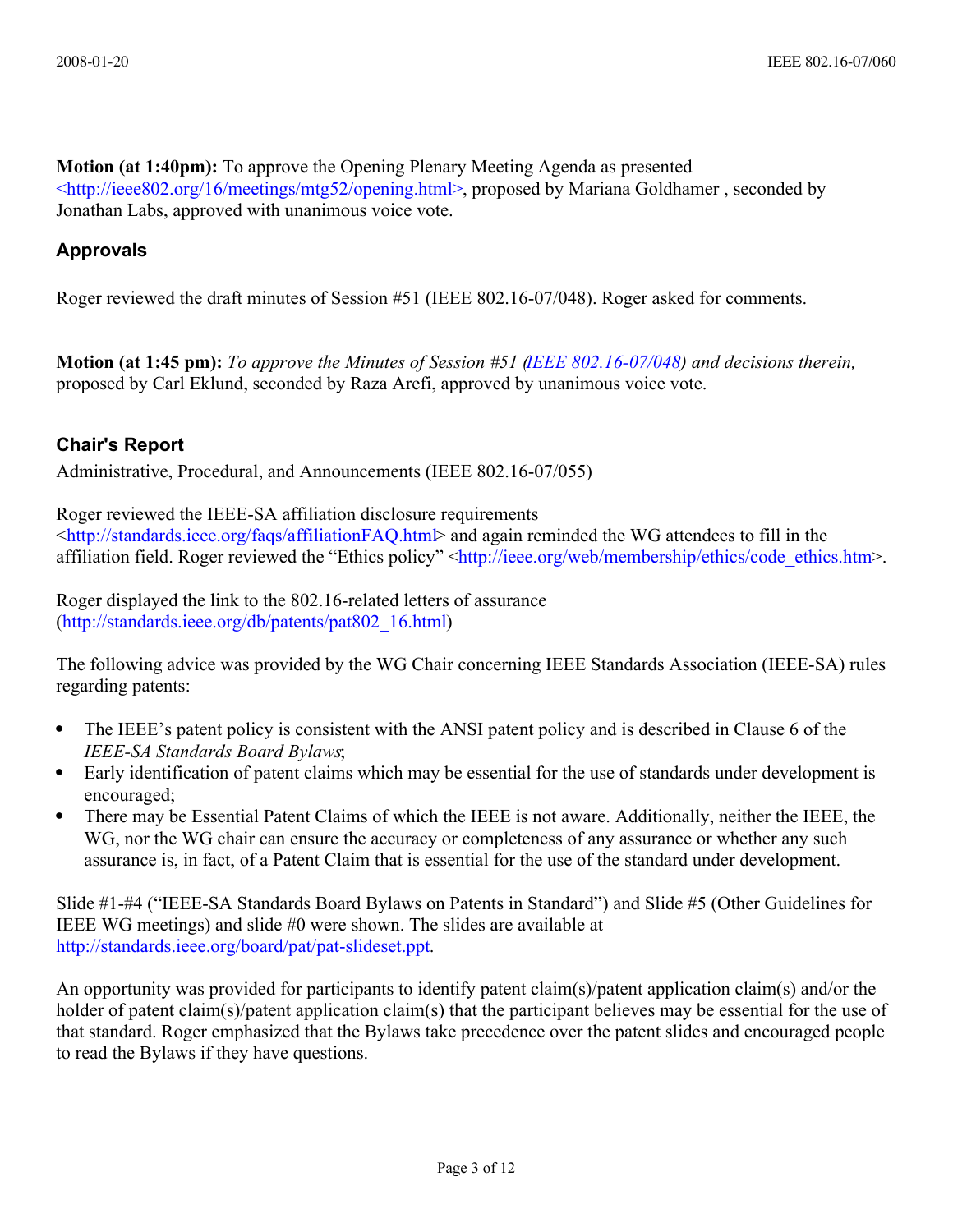**Motion (at 1:40pm):** To approve the Opening Plenary Meeting Agenda as presented [<http://ieee802.org/16/meetings/mtg52/opening.html>,](file:///Users/roger/Documents/802/802.16/meetings/%2353%20Levi/%3Chttp://ieee802.org/16/meetings/mtg52/opening.html%3E) proposed by Mariana Goldhamer , seconded by Jonathan Labs, approved with unanimous voice vote.

## **Approvals**

Roger reviewed the draft minutes of Session #51 (IEEE 802.16-07/048). Roger asked for comments.

**Motion (at 1:45 pm):** *To approve the Minutes of Session #51 [\(IEEE 802.16-07/048\)](file:///D:%5CProfiles%5CPYZHU%5CMy%20Documents%5C2007%5CRelay%5C16j%5Cdocs%5C07%5C80216-07_048.pdf) and decisions therein,*  proposed by Carl Eklund, seconded by Raza Arefi, approved by unanimous voice vote.

## **Chair's Report**

Administrative, Procedural, and Announcements (IEEE 802.16-07/055)

Roger reviewed the IEEE-SA affiliation disclosure requirements  $\lt$ http://standards.ieee.org/faqs/affiliationFAQ.htm $\triangleright$  and again reminded the WG attendees to fill in the affiliation field. Roger reviewed the "Ethics policy" [<http://ieee.org/web/membership/ethics/code\\_ethics.htm>](http://ieee.org/web/membership/ethics/code_ethics.htm).

Roger displayed the link to the 802.16-related letters of assurance [\(http://standards.ieee.org/db/patents/pat802\\_16.html\)](http://standards.ieee.org/db/patents/pat802_16.html)

The following advice was provided by the WG Chair concerning IEEE Standards Association (IEEE-SA) rules regarding patents:

- The IEEE's patent policy is consistent with the ANSI patent policy and is described in Clause 6 of the *IEEE-SA Standards Board Bylaws*;
- Early identification of patent claims which may be essential for the use of standards under development is encouraged;
- There may be Essential Patent Claims of which the IEEE is not aware. Additionally, neither the IEEE, the WG, nor the WG chair can ensure the accuracy or completeness of any assurance or whether any such assurance is, in fact, of a Patent Claim that is essential for the use of the standard under development.

Slide #1-#4 ("IEEE-SA Standards Board Bylaws on Patents in Standard") and Slide #5 (Other Guidelines for IEEE WG meetings) and slide #0 were shown. The slides are available at [http://standards.ieee.org/board/pat/pat-slideset.ppt.](http://standards.ieee.org/board/pat/pat-slideset.ppt)

An opportunity was provided for participants to identify patent claim(s)/patent application claim(s) and/or the holder of patent claim(s)/patent application claim(s) that the participant believes may be essential for the use of that standard. Roger emphasized that the Bylaws take precedence over the patent slides and encouraged people to read the Bylaws if they have questions.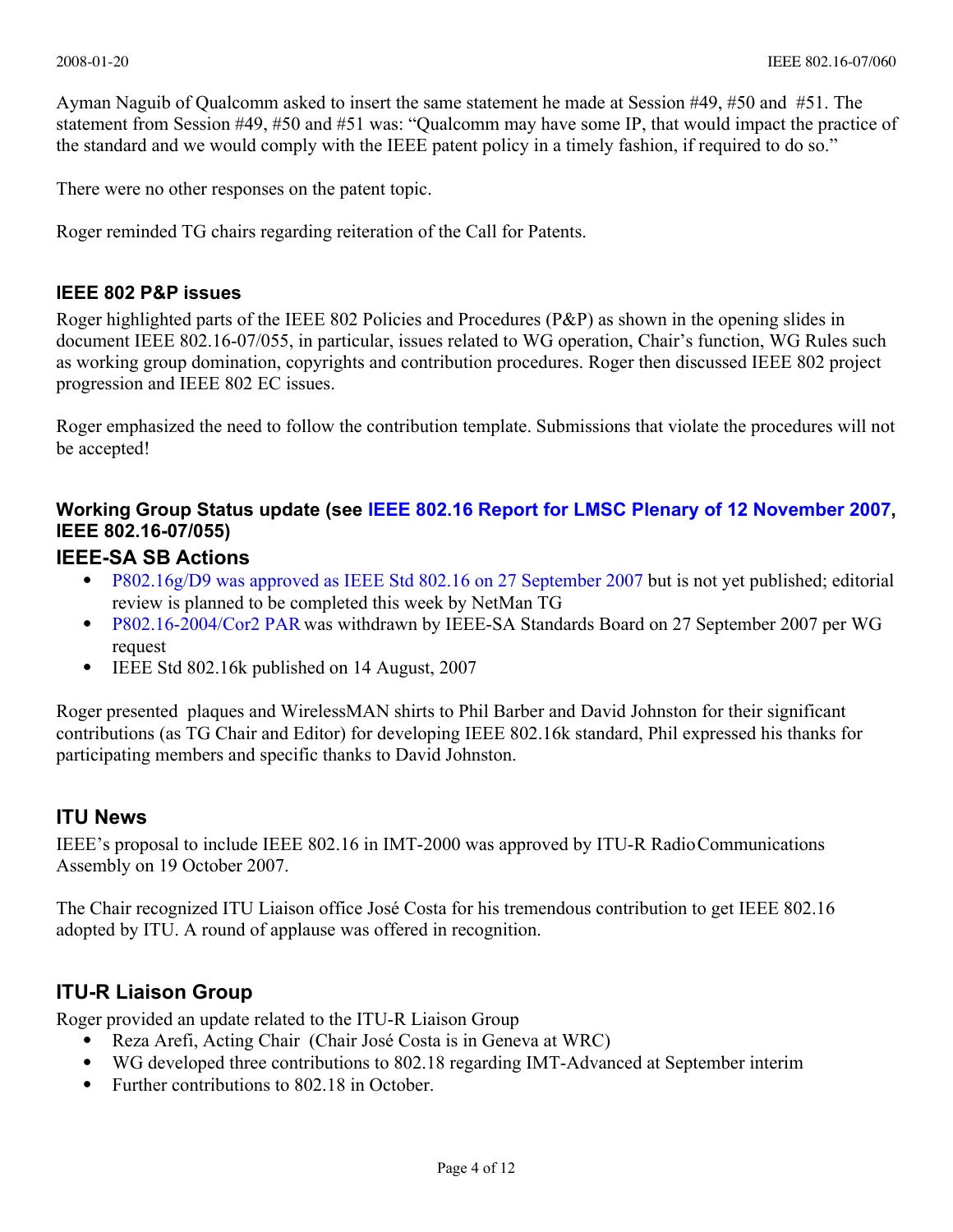Ayman Naguib of Qualcomm asked to insert the same statement he made at Session #49, #50 and #51. The statement from Session #49, #50 and #51 was: "Qualcomm may have some IP, that would impact the practice of the standard and we would comply with the IEEE patent policy in a timely fashion, if required to do so."

There were no other responses on the patent topic.

Roger reminded TG chairs regarding reiteration of the Call for Patents.

#### **IEEE 802 P&P issues**

Roger highlighted parts of the IEEE 802 Policies and Procedures (P&P) as shown in the opening slides in document IEEE 802.16-07/055, in particular, issues related to WG operation, Chair's function, WG Rules such as working group domination, copyrights and contribution procedures. Roger then discussed IEEE 802 project progression and IEEE 802 EC issues.

Roger emphasized the need to follow the contribution template. Submissions that violate the procedures will not be accepted!

## **Working Group Status update (see [IEEE 802.16 Report for LMSC Plenary of 12 November 2007,](file:///D:%5CProfiles%5CPYZHU%5CMy%20Documents%5C2007%5CRelay%5C16j%5Cdocs%5Cindex.html#07_054) IEEE 802.16-07/055)**

## **IEEE-SA SB Actions**

- [P802.16g/D9 was approved as IEEE Std 802.16 on 27 September 2007](http://ieee802.org/16/arc/802-16list2/msg04431.html) but is not yet published; editorial review is planned to be completed this week by NetMan TG
- [P802.16-2004/Cor2 PAR](file:///D:%5CProfiles%5CPYZHU%5CMy%20Documents%5C2007%5CRelay%5C16j%5Cmaint%5Cindex.html) was withdrawn by IEEE-SA Standards Board on 27 September 2007 per WG request
- IEEE Std 802.16k published on 14 August, 2007

Roger presented plaques and WirelessMAN shirts to Phil Barber and David Johnston for their significant contributions (as TG Chair and Editor) for developing IEEE 802.16k standard, Phil expressed his thanks for participating members and specific thanks to David Johnston.

## **ITU News**

IEEE's proposal to include IEEE 802.16 in IMT-2000 was approved by ITU-R Radio Communications Assembly on 19 October 2007.

The Chair recognized ITU Liaison office José Costa for his tremendous contribution to get IEEE 802.16 adopted by ITU. A round of applause was offered in recognition.

## **ITU-R Liaison Group**

Roger provided an update related to the ITU-R Liaison Group

- Reza Arefi, Acting Chair (Chair José Costa is in Geneva at WRC)
- WG developed three contributions to 802.18 regarding IMT-Advanced at September interim
- Further contributions to 802.18 in October.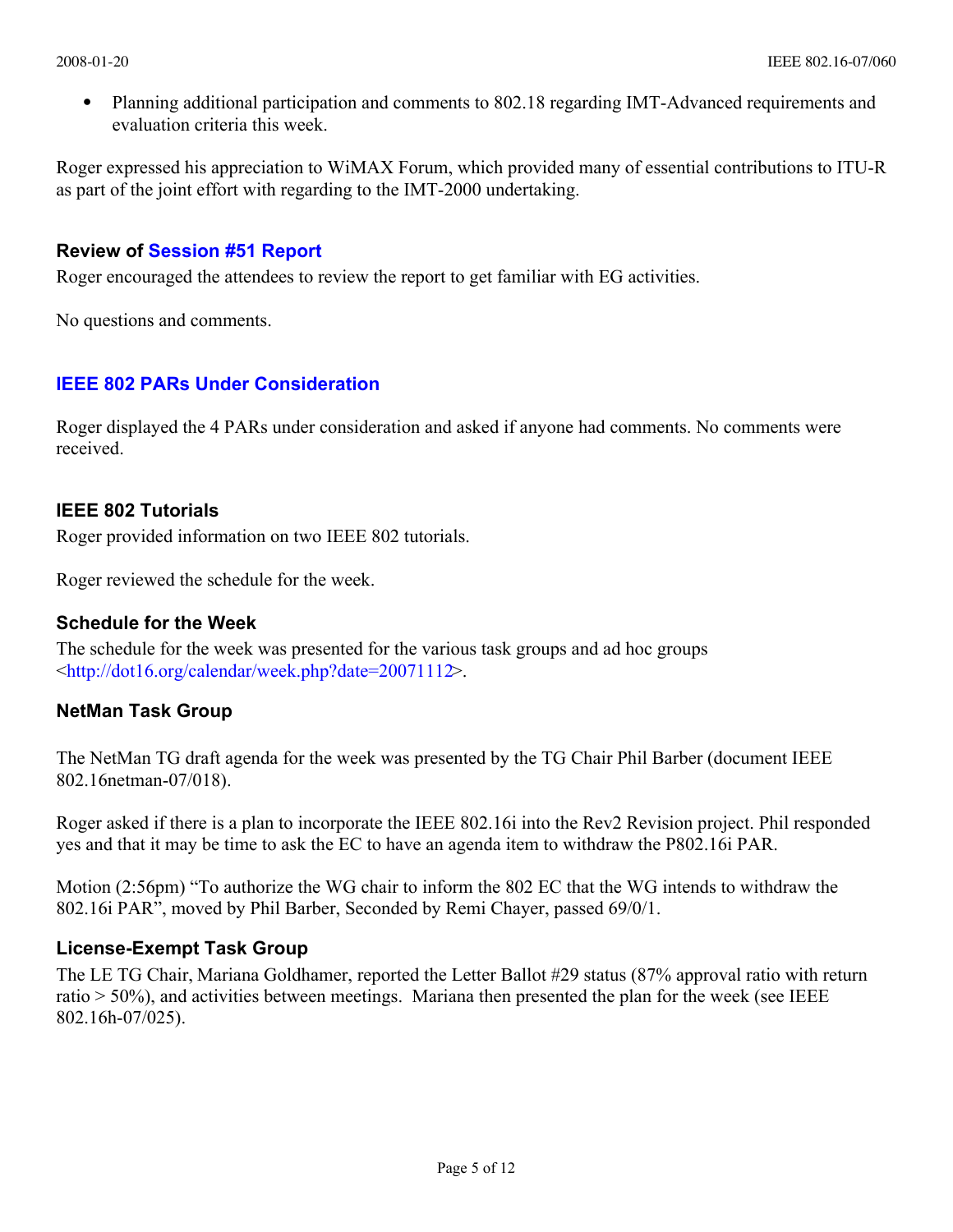Planning additional participation and comments to 802.18 regarding IMT-Advanced requirements and evaluation criteria this week.

Roger expressed his appreciation to WiMAX Forum, which provided many of essential contributions to ITU-R as part of the joint effort with regarding to the IMT-2000 undertaking.

## **Review of [Session #51 Report](file:///D:%5CProfiles%5CPYZHU%5CMy%20Documents%5C2007%5CRelay%5C16j%5CNov%20meeting%5Cmtg51%5Creport.html)**

Roger encouraged the attendees to review the report to get familiar with EG activities.

No questions and comments.

## **[IEEE 802 PARs Under Consideration](file:///D:%5CProfiles%5CPYZHU%5CMy%20Documents%5C2007%5CRelay%5C16j%5CNov%20meeting%5COpening%5Clmsc%5Cpars.html)**

Roger displayed the 4 PARs under consideration and asked if anyone had comments. No comments were received.

## **IEEE 802 Tutorials**

Roger provided information on two IEEE 802 tutorials.

Roger reviewed the schedule for the week.

## **Schedule for the Week**

The schedule for the week was presented for the various task groups and ad hoc groups <[http://dot16.org/calendar/week.php?date=20071112>.](http://dot16.org/calendar/week.php?date=20071112) 

## **NetMan Task Group**

The NetMan TG draft agenda for the week was presented by the TG Chair Phil Barber (document IEEE 802.16netman-07/018).

Roger asked if there is a plan to incorporate the IEEE 802.16i into the Rev2 Revision project. Phil responded yes and that it may be time to ask the EC to have an agenda item to withdraw the P802.16i PAR.

Motion (2:56pm) "To authorize the WG chair to inform the 802 EC that the WG intends to withdraw the 802.16i PAR", moved by Phil Barber, Seconded by Remi Chayer, passed 69/0/1.

## **License-Exempt Task Group**

The LE TG Chair, Mariana Goldhamer, reported the Letter Ballot #29 status (87% approval ratio with return ratio > 50%), and activities between meetings. Mariana then presented the plan for the week (see IEEE 802.16h-07/025).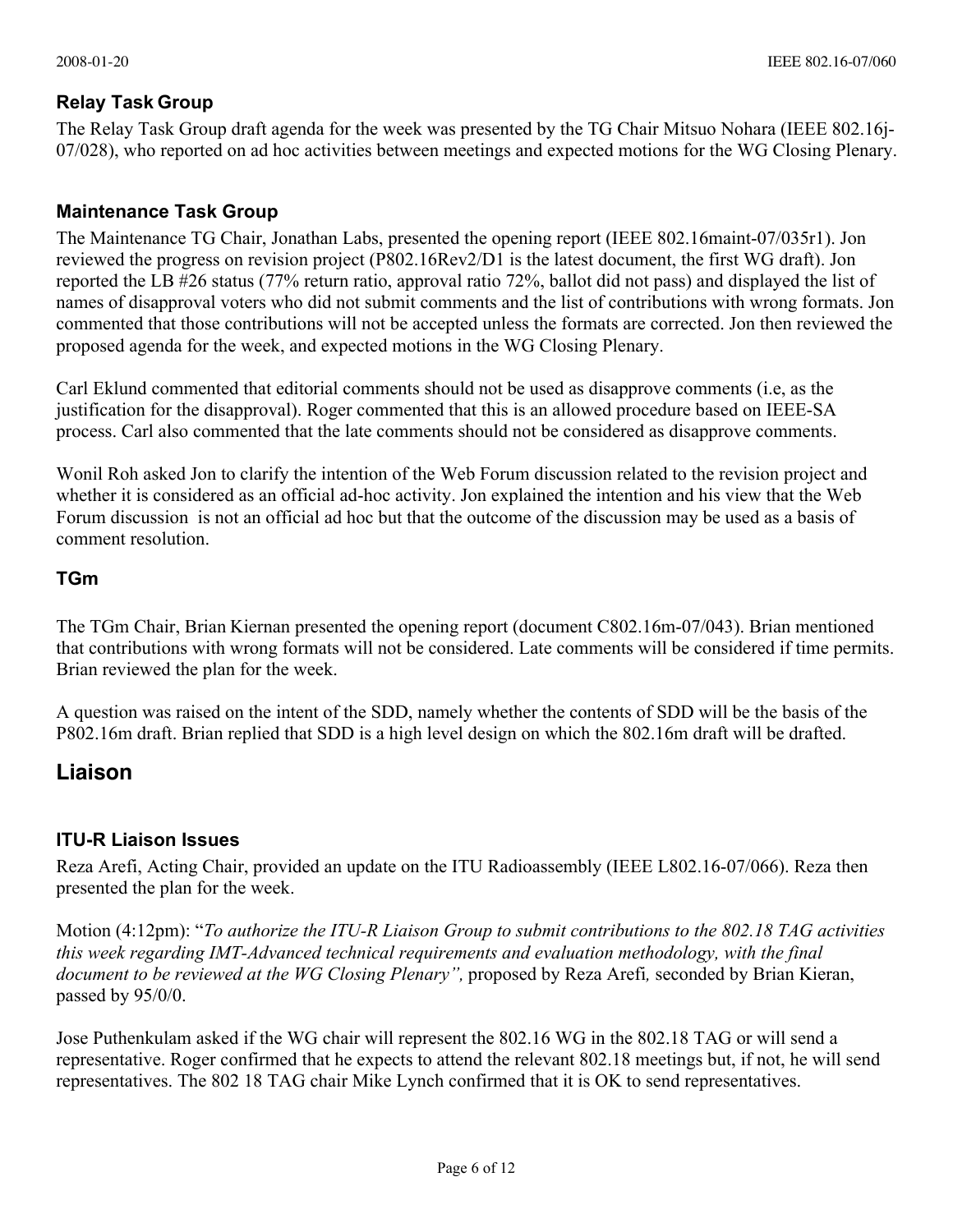## **Relay Task Group**

The Relay Task Group draft agenda for the week was presented by the TG Chair Mitsuo Nohara (IEEE 802.16j-07/028), who reported on ad hoc activities between meetings and expected motions for the WG Closing Plenary.

## **Maintenance Task Group**

The Maintenance TG Chair, Jonathan Labs, presented the opening report (IEEE 802.16maint-07/035r1). Jon reviewed the progress on revision project (P802.16Rev2/D1 is the latest document, the first WG draft). Jon reported the LB #26 status (77% return ratio, approval ratio 72%, ballot did not pass) and displayed the list of names of disapproval voters who did not submit comments and the list of contributions with wrong formats. Jon commented that those contributions will not be accepted unless the formats are corrected. Jon then reviewed the proposed agenda for the week, and expected motions in the WG Closing Plenary.

Carl Eklund commented that editorial comments should not be used as disapprove comments (i.e, as the justification for the disapproval). Roger commented that this is an allowed procedure based on IEEE-SA process. Carl also commented that the late comments should not be considered as disapprove comments.

Wonil Roh asked Jon to clarify the intention of the Web Forum discussion related to the revision project and whether it is considered as an official ad-hoc activity. Jon explained the intention and his view that the Web Forum discussion is not an official ad hoc but that the outcome of the discussion may be used as a basis of comment resolution.

## **TGm**

The TGm Chair, Brian Kiernan presented the opening report (document C802.16m-07/043). Brian mentioned that contributions with wrong formats will not be considered. Late comments will be considered if time permits. Brian reviewed the plan for the week.

A question was raised on the intent of the SDD, namely whether the contents of SDD will be the basis of the P802.16m draft. Brian replied that SDD is a high level design on which the 802.16m draft will be drafted.

## **Liaison**

## **ITU-R Liaison Issues**

Reza Arefi, Acting Chair, provided an update on the ITU Radioassembly (IEEE L802.16-07/066). Reza then presented the plan for the week.

Motion (4:12pm): "*To authorize the ITU-R Liaison Group to submit contributions to the 802.18 TAG activities this week regarding IMT-Advanced technical requirements and evaluation methodology, with the final document to be reviewed at the WG Closing Plenary",* proposed by Reza Arefi*,* seconded by Brian Kieran, passed by 95/0/0.

Jose Puthenkulam asked if the WG chair will represent the 802.16 WG in the 802.18 TAG or will send a representative. Roger confirmed that he expects to attend the relevant 802.18 meetings but, if not, he will send representatives. The 802 18 TAG chair Mike Lynch confirmed that it is OK to send representatives.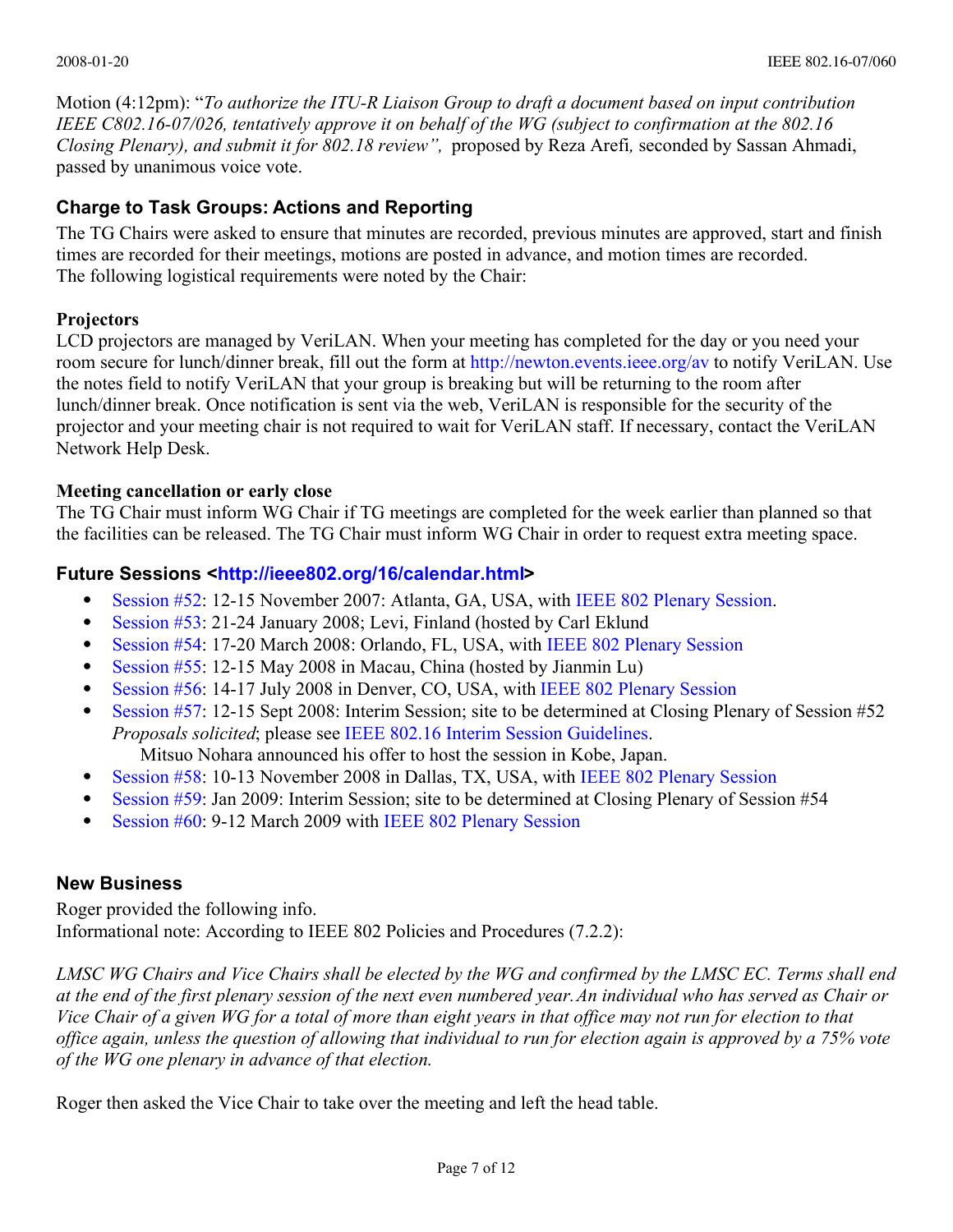Motion (4:12pm): "*To authorize the ITU-R Liaison Group to draft a document based on input contribution IEEE C802.16-07/026, tentatively approve it on behalf of the WG (subject to confirmation at the 802.16 Closing Plenary), and submit it for 802.18 review",* proposed by Reza Arefi*,* seconded by Sassan Ahmadi, passed by unanimous voice vote.

## **Charge to Task Groups: Actions and Reporting**

The TG Chairs were asked to ensure that minutes are recorded, previous minutes are approved, start and finish times are recorded for their meetings, motions are posted in advance, and motion times are recorded. The following logistical requirements were noted by the Chair:

## **Projectors**

LCD projectors are managed by VeriLAN. When your meeting has completed for the day or you need your room secure for lunch/dinner break, fill out the form at<http://newton.events.ieee.org/av>to notify VeriLAN. Use the notes field to notify VeriLAN that your group is breaking but will be returning to the room after lunch/dinner break. Once notification is sent via the web, VeriLAN is responsible for the security of the projector and your meeting chair is not required to wait for VeriLAN staff. If necessary, contact the VeriLAN Network Help Desk.

## **Meeting cancellation or early close**

The TG Chair must inform WG Chair if TG meetings are completed for the week earlier than planned so that the facilities can be released. The TG Chair must inform WG Chair in order to request extra meeting space.

## **Future Sessions <[http://ieee802.org/16/calendar.html>](http://ieee802.org/16/calendar.html)**

- [Session #52:](http://newton/16/16/meetings/mtg52/index.html) 12-15 November 2007: Atlanta, GA, USA, with [IEEE 802 Plenary Session.](http://ieee802.org/meeting)
- [Session #53:](http://newton/16/16/meetings/mtg53/index.html) 21-24 January 2008; Levi, Finland (hosted by Carl Eklund
- [Session #54:](http://ieee802.org/16/meetings/mtg54/index.html) 17-20 March 2008: Orlando, FL, USA, with [IEEE 802 Plenary Session](http://ieee802.org/meeting)
- [Session #55:](http://lan.wirelessman.org/16/meetings/mtg55/index.html) 12-15 May 2008 in Macau, China (hosted by Jianmin Lu)
- [Session #56:](http://ieee802.org/16/meetings/mtg56/index.html) 14-17 July 2008 in Denver, CO, USA, with [IEEE 802 Plenary Session](http://ieee802.org/meeting)
- [Session #57:](http://lan.wirelessman.org/16/meetings/mtg57/index.html) 12-15 Sept 2008: Interim Session; site to be determined at Closing Plenary of Session #52 *Proposals solicited*; please see [IEEE 802.16 Interim Session Guidelines.](http://lan.wirelessman.org/16/docs/04/80216-04_67.pdf)

Mitsuo Nohara announced his offer to host the session in Kobe, Japan.

- [Session #58:](http://lan.wirelessman.org/16/meetings/mtg58/index.html) 10-13 November 2008 in Dallas, TX, USA, with [IEEE 802 Plenary Session](http://ieee802.org/meeting)
- [Session #59:](http://lan.wirelessman.org/16/meetings/mtg59/index.html) Jan 2009: Interim Session; site to be determined at Closing Plenary of Session #54
- [Session #60:](http://lan.wirelessman.org/16/meetings/mtg60/index.html) 9-12 March 2009 with [IEEE 802 Plenary Session](http://ieee802.org/meeting)

## **New Business**

Roger provided the following info. Informational note: According to IEEE 802 Policies and Procedures (7.2.2):

*LMSC WG Chairs and Vice Chairs shall be elected by the WG and confirmed by the LMSC EC. Terms shall end at the end of the first plenary session of the next even numbered year.An individual who has served as Chair or Vice Chair of a given WG for a total of more than eight years in that office may not run for election to that office again, unless the question of allowing that individual to run for election again is approved by a 75% vote of the WG one plenary in advance of that election.*

Roger then asked the Vice Chair to take over the meeting and left the head table.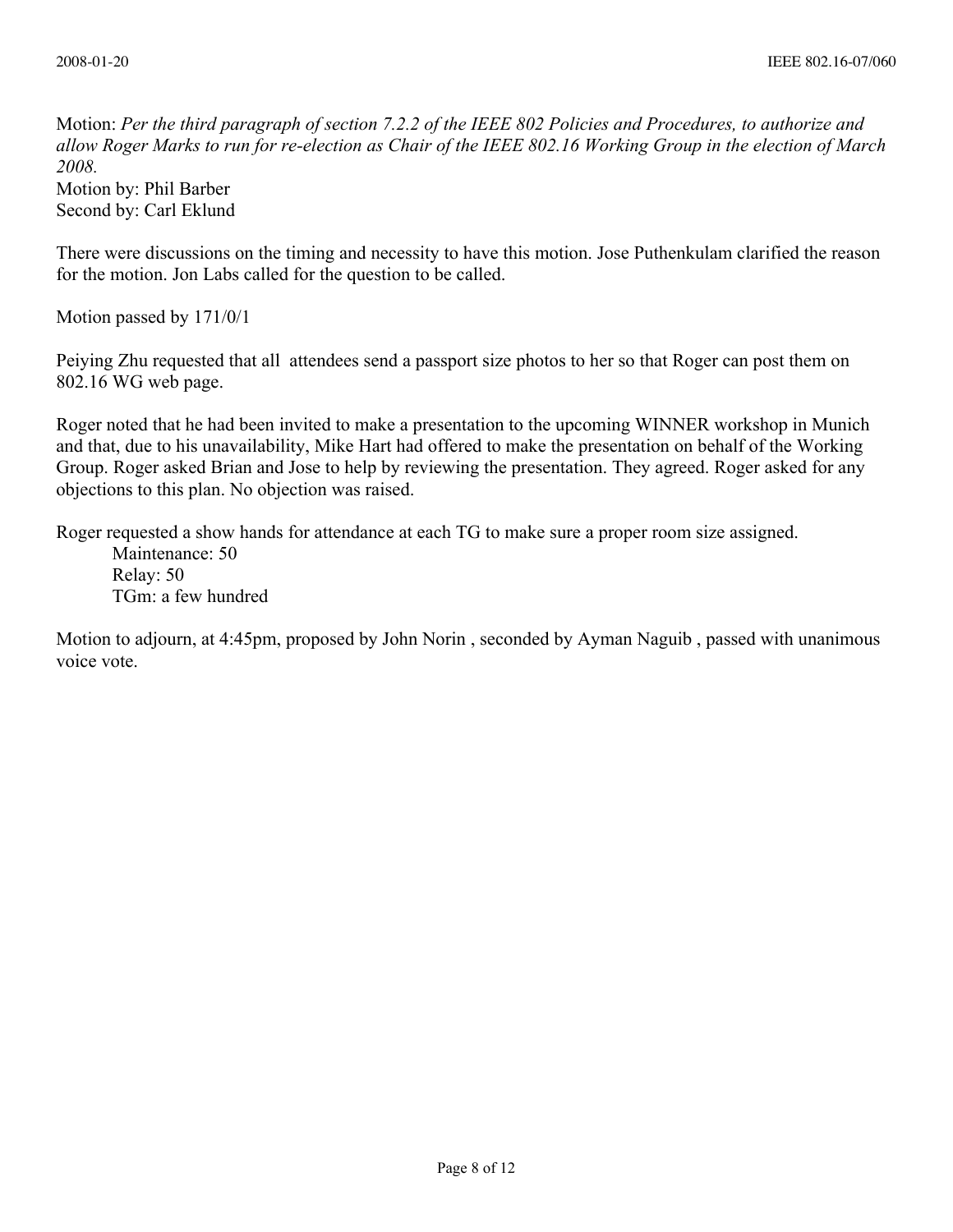Motion: *Per the third paragraph of section 7.2.2 of the IEEE 802 Policies and Procedures, to authorize and allow Roger Marks to run for re-election as Chair of the IEEE 802.16 Working Group in the election of March 2008.*

Motion by: Phil Barber Second by: Carl Eklund

There were discussions on the timing and necessity to have this motion. Jose Puthenkulam clarified the reason for the motion. Jon Labs called for the question to be called.

Motion passed by 171/0/1

Peiying Zhu requested that all attendees send a passport size photos to her so that Roger can post them on 802.16 WG web page.

Roger noted that he had been invited to make a presentation to the upcoming WINNER workshop in Munich and that, due to his unavailability, Mike Hart had offered to make the presentation on behalf of the Working Group. Roger asked Brian and Jose to help by reviewing the presentation. They agreed. Roger asked for any objections to this plan. No objection was raised.

Roger requested a show hands for attendance at each TG to make sure a proper room size assigned.

Maintenance: 50 Relay: 50 TGm: a few hundred

Motion to adjourn, at 4:45pm, proposed by John Norin , seconded by Ayman Naguib , passed with unanimous voice vote.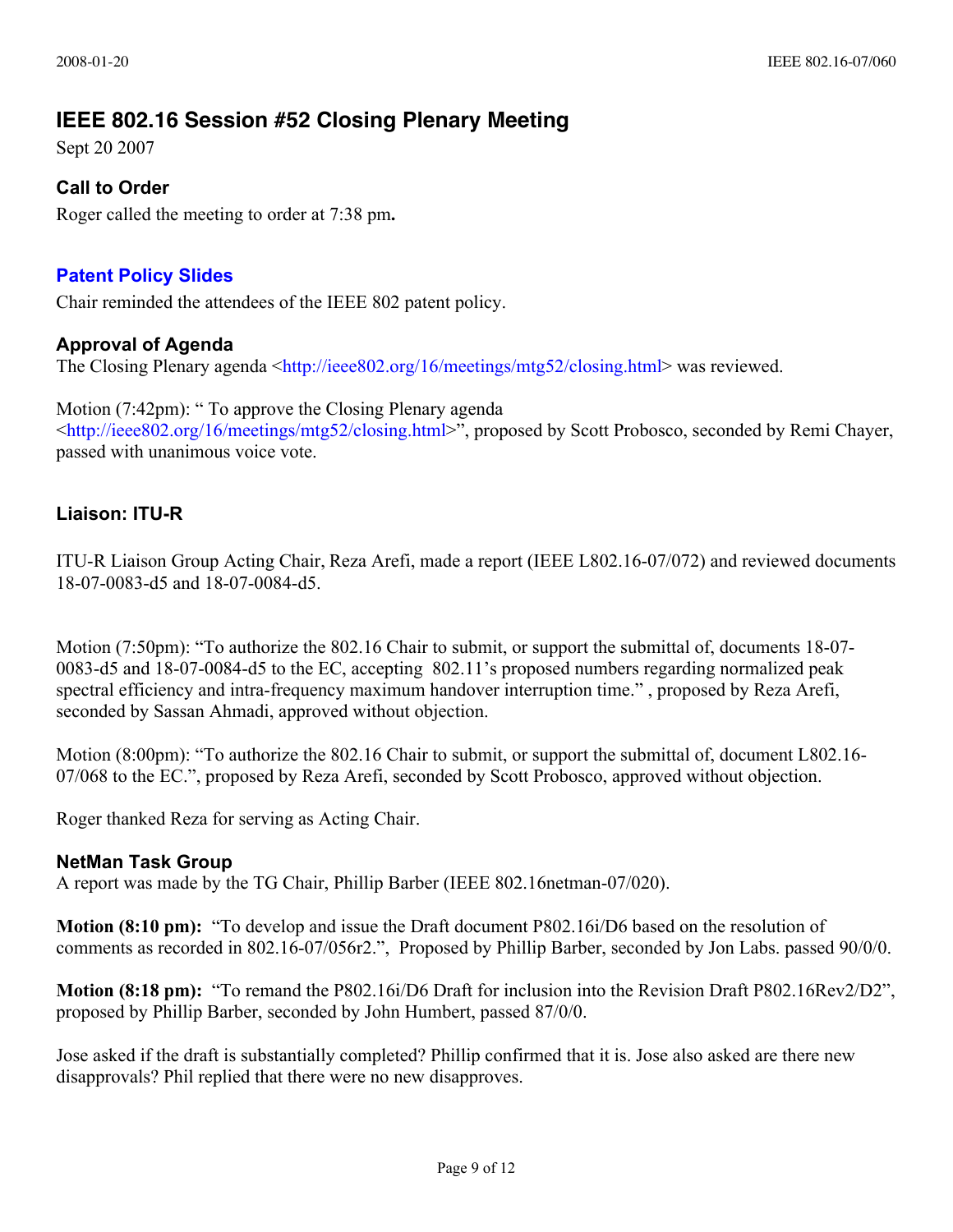## **IEEE 802.16 Session #52 Closing Plenary Meeting**

Sept 20 2007

## **Call to Order**

Roger called the meeting to order at 7:38 pm**.**

## **[Patent Policy Slides](http://standards.ieee.org/board/pat/pat-slideset.pdf)**

Chair reminded the attendees of the IEEE 802 patent policy.

## **Approval of Agenda**

The Closing Plenary agenda <[http://ieee802.org/16/meetings/mtg52/closing.html>](http://ieee802.org/16/meetings/mtg52/closing.html) was reviewed.

Motion (7:42pm): " To approve the Closing Plenary agenda [<http://ieee802.org/16/meetings/mtg52/closing.html](http://ieee802.org/16/meetings/mtg52/closing.html)[>",](http://ieee802.org/16/meetings/mtg52/closing.html%3E%E2%80%9D) proposed by Scott Probosco, seconded by Remi Chayer, passed with unanimous voice vote.

## **Liaison: ITU-R**

ITU-R Liaison Group Acting Chair, Reza Arefi, made a report (IEEE L802.16-07/072) and reviewed documents 18-07-0083-d5 and 18-07-0084-d5.

Motion (7:50pm): "To authorize the 802.16 Chair to submit, or support the submittal of, documents 18-07- 0083-d5 and 18-07-0084-d5 to the EC, accepting 802.11's proposed numbers regarding normalized peak spectral efficiency and intra-frequency maximum handover interruption time." , proposed by Reza Arefi, seconded by Sassan Ahmadi, approved without objection.

Motion (8:00pm): "To authorize the 802.16 Chair to submit, or support the submittal of, document L802.16- 07/068 to the EC.", proposed by Reza Arefi, seconded by Scott Probosco, approved without objection.

Roger thanked Reza for serving as Acting Chair.

## **[NetMan Task Group](file:///Users/roger/Documents/802/802.16/netman/index.html)**

A report was made by the TG Chair, Phillip Barber (IEEE 802.16netman-07/020).

**Motion (8:10 pm):** "To develop and issue the Draft document P802.16i/D6 based on the resolution of comments as recorded in 802.16-07/056r2.", Proposed by Phillip Barber, seconded by Jon Labs. passed 90/0/0.

**Motion (8:18 pm):** "To remand the P802.16i/D6 Draft for inclusion into the Revision Draft P802.16Rev2/D2", proposed by Phillip Barber, seconded by John Humbert, passed 87/0/0.

Jose asked if the draft is substantially completed? Phillip confirmed that it is. Jose also asked are there new disapprovals? Phil replied that there were no new disapproves.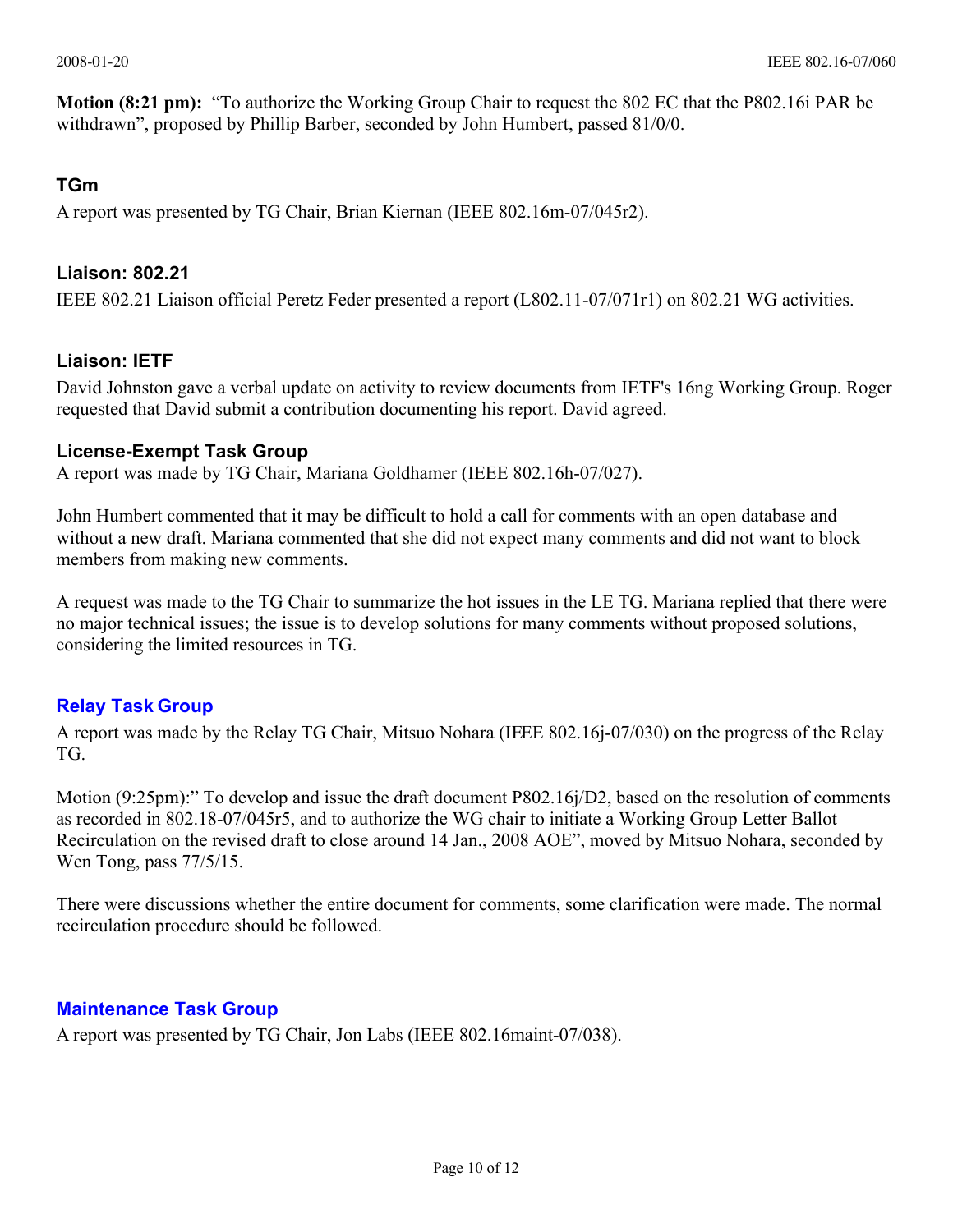**Motion (8:21 pm):** "To authorize the Working Group Chair to request the 802 EC that the P802.16i PAR be withdrawn", proposed by Phillip Barber, seconded by John Humbert, passed 81/0/0.

## **TGm**

A report was presented by TG Chair, Brian Kiernan (IEEE 802.16m-07/045r2).

## **Liaison: 802.21**

IEEE 802.21 Liaison official Peretz Feder presented a report (L802.11-07/071r1) on 802.21 WG activities.

## **Liaison: IETF**

David Johnston gave a verbal update on activity to review documents from IETF's 16ng Working Group. Roger requested that David submit a contribution documenting his report. David agreed.

## **[License-Exempt Task Group](file:///Users/roger/Documents/802/802.16/le/index.html)**

A report was made by TG Chair, Mariana Goldhamer (IEEE 802.16h-07/027).

John Humbert commented that it may be difficult to hold a call for comments with an open database and without a new draft. Mariana commented that she did not expect many comments and did not want to block members from making new comments.

A request was made to the TG Chair to summarize the hot issues in the LE TG. Mariana replied that there were no major technical issues; the issue is to develop solutions for many comments without proposed solutions, considering the limited resources in TG.

## **[Relay Task Group](file:///Users/roger/Documents/802/802.16/le/index.html)**

A report was made by the Relay TG Chair, Mitsuo Nohara (IEEE 802.16j-07/030) on the progress of the Relay TG.

Motion (9:25pm):" To develop and issue the draft document P802.16j/D2, based on the resolution of comments as recorded in 802.18-07/045r5, and to authorize the WG chair to initiate a Working Group Letter Ballot Recirculation on the revised draft to close around 14 Jan., 2008 AOE", moved by Mitsuo Nohara, seconded by Wen Tong, pass 77/5/15.

There were discussions whether the entire document for comments, some clarification were made. The normal recirculation procedure should be followed.

## **[Maintenance Task Group](http://lan.wirelessman.org/16/maint/index.html)**

A report was presented by TG Chair, Jon Labs (IEEE 802.16maint-07/038).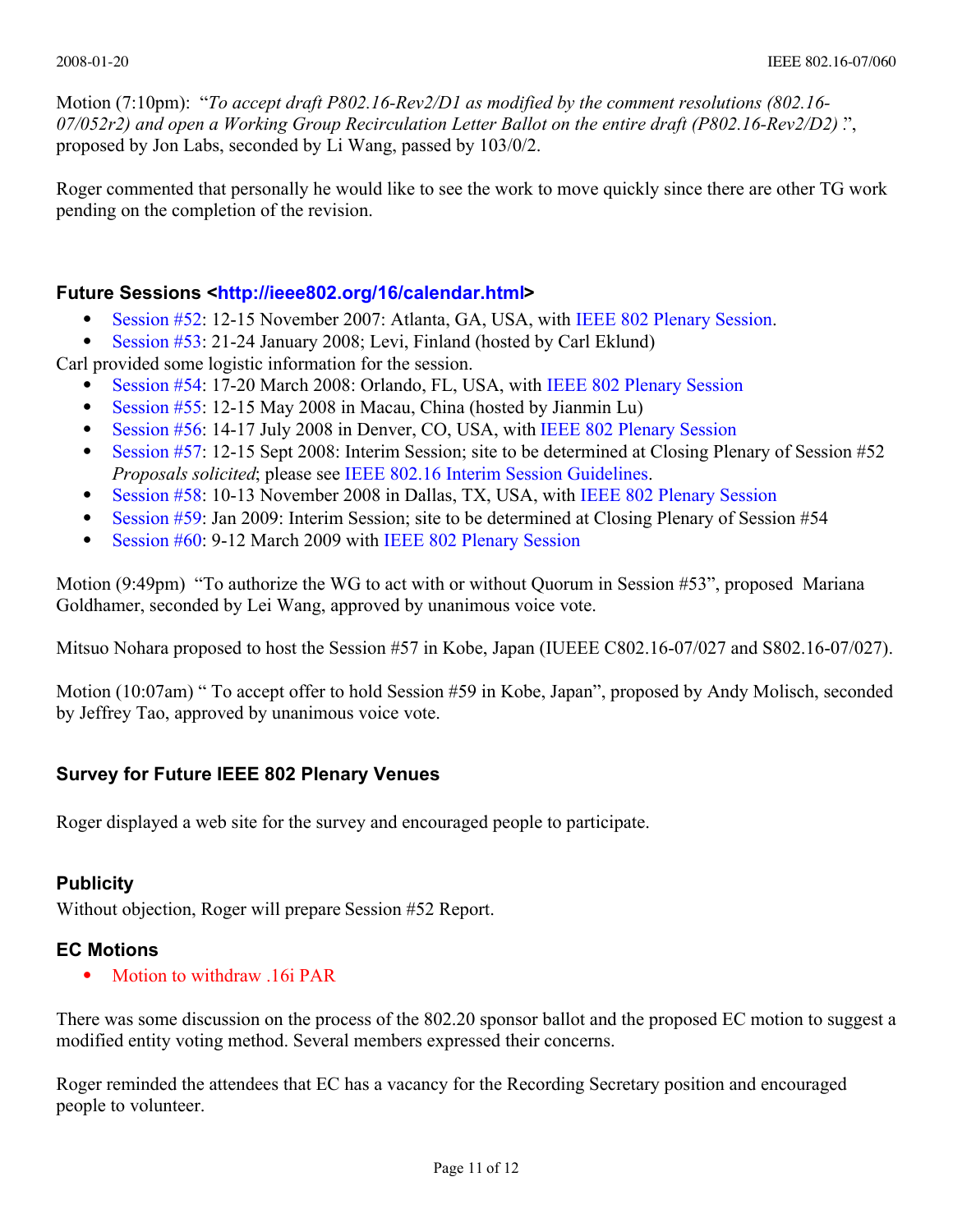Motion (7:10pm): "*To accept draft P802.16-Rev2/D1 as modified by the comment resolutions (802.16- 07/052r2) and open a Working Group Recirculation Letter Ballot on the entire draft (P802.16-Rev2/D2) .*", proposed by Jon Labs, seconded by Li Wang, passed by 103/0/2.

Roger commented that personally he would like to see the work to move quickly since there are other TG work pending on the completion of the revision.

## **Future Sessions <[http://ieee802.org/16/calendar.html>](http://ieee802.org/16/calendar.html)**

- [Session #52:](http://newton/16/16/meetings/mtg52/index.html) 12-15 November 2007: Atlanta, GA, USA, with [IEEE 802 Plenary Session.](http://ieee802.org/meeting)
- [Session #53:](http://newton/16/16/meetings/mtg53/index.html) 21-24 January 2008; Levi, Finland (hosted by Carl Eklund)

Carl provided some logistic information for the session.

- [Session #54:](http://ieee802.org/16/meetings/mtg54/index.html) 17-20 March 2008: Orlando, FL, USA, with [IEEE 802 Plenary Session](http://ieee802.org/meeting)
- [Session #55:](http://lan.wirelessman.org/16/meetings/mtg55/index.html) 12-15 May 2008 in Macau, China (hosted by Jianmin Lu)
- [Session #56:](http://ieee802.org/16/meetings/mtg56/index.html) 14-17 July 2008 in Denver, CO, USA, with [IEEE 802 Plenary Session](http://ieee802.org/meeting)
- [Session #57:](http://lan.wirelessman.org/16/meetings/mtg57/index.html) 12-15 Sept 2008: Interim Session; site to be determined at Closing Plenary of Session #52 *Proposals solicited*; please see [IEEE 802.16 Interim Session Guidelines.](http://lan.wirelessman.org/16/docs/04/80216-04_67.pdf)
- [Session #58:](http://lan.wirelessman.org/16/meetings/mtg58/index.html) 10-13 November 2008 in Dallas, TX, USA, with [IEEE 802 Plenary Session](http://ieee802.org/meeting)
- [Session #59:](http://lan.wirelessman.org/16/meetings/mtg59/index.html) Jan 2009: Interim Session; site to be determined at Closing Plenary of Session #54
- [Session #60:](http://lan.wirelessman.org/16/meetings/mtg60/index.html) 9-12 March 2009 with [IEEE 802 Plenary Session](http://ieee802.org/meeting)

Motion (9:49pm) "To authorize the WG to act with or without Quorum in Session #53", proposed Mariana Goldhamer, seconded by Lei Wang, approved by unanimous voice vote.

Mitsuo Nohara proposed to host the Session #57 in Kobe, Japan (IUEEE C802.16-07/027 and S802.16-07/027).

Motion (10:07am) " To accept offer to hold Session #59 in Kobe, Japan", proposed by Andy Molisch, seconded by Jeffrey Tao, approved by unanimous voice vote.

## **Survey for Future IEEE 802 Plenary Venues**

Roger displayed a web site for the survey and encouraged people to participate.

## **Publicity**

Without objection, Roger will prepare [Session #52 Report.](http://newton.events.ieee.org/16/16/meetings/mtg50/report.html)

## **EC Motions**

Motion to withdraw .16i PAR

There was some discussion on the process of the 802.20 sponsor ballot and the proposed EC motion to suggest a modified entity voting method. Several members expressed their concerns.

Roger reminded the attendees that EC has a vacancy for the Recording Secretary position and encouraged people to volunteer.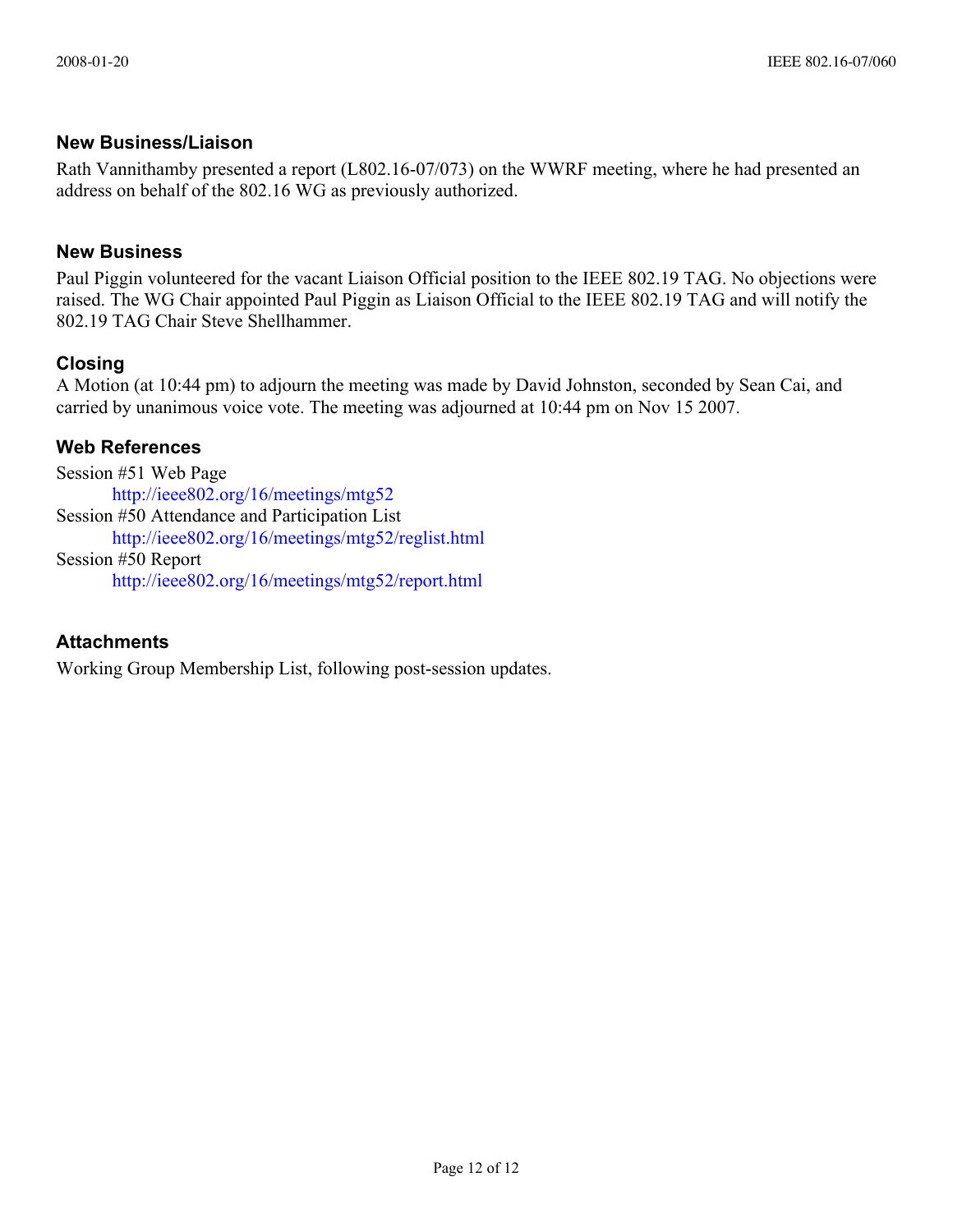## **New Business/Liaison**

Rath Vannithamby presented a report (L802.16-07/073) on the WWRF meeting, where he had presented an address on behalf of the 802.16 WG as previously authorized.

## **New Business**

Paul Piggin volunteered for the vacant Liaison Official position to the IEEE 802.19 TAG. No objections were raised. The WG Chair appointed Paul Piggin as Liaison Official to the IEEE 802.19 TAG and will notify the 802.19 TAG Chair Steve Shellhammer.

## **Closing**

A Motion (at 10:44 pm) to adjourn the meeting was made by David Johnston, seconded by Sean Cai, and carried by unanimous voice vote. The meeting was adjourned at 10:44 pm on Nov 15 2007.

## **Web References**

Session #51 Web Page <http://ieee802.org/16/meetings/mtg52> Session #50 Attendance and Participation List <http://ieee802.org/16/meetings/mtg52/reglist.html> Session #50 Report <http://ieee802.org/16/meetings/mtg52/report.html>

## **Attachments**

Working Group Membership List, following post-session updates.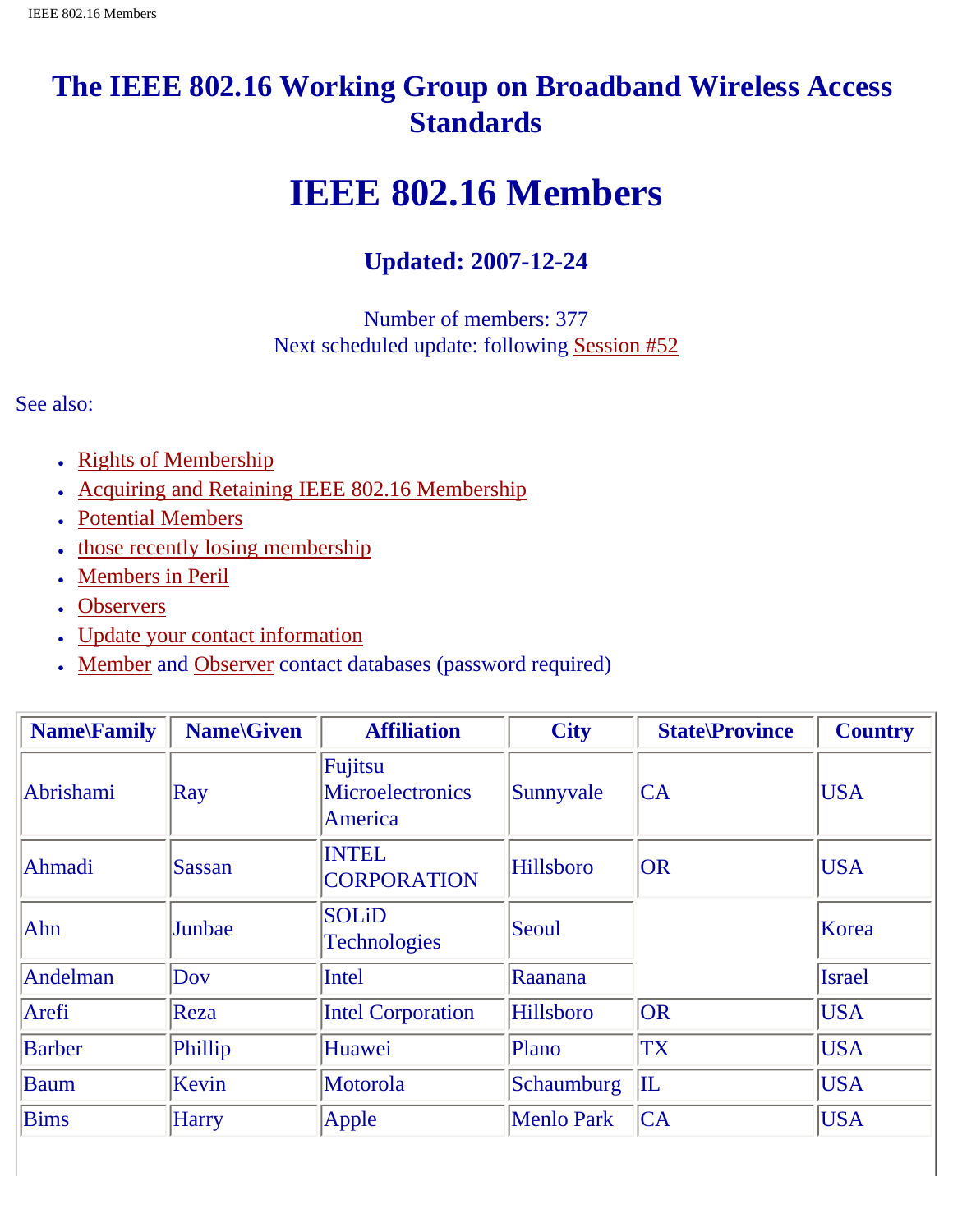# **The IEEE 802.16 Working Group on Broadband Wireless Access Standards**

# **IEEE 802.16 Members**

## **Updated: 2007-12-24**

Number of members: 377 Next scheduled update: following Session #52

See also:

- Rights of Membership
- Acquiring and Retaining IEEE 802.16 Membership
- Potential Members
- those recently losing membership
- Members in Peril
- Observers
- Update your contact information
- Member and Observer contact databases (password required)

| <b>Name</b> Family | <b>Name</b> \Given | <b>Affiliation</b>                            | <b>City</b>       | <b>State</b> \Province | <b>Country</b> |
|--------------------|--------------------|-----------------------------------------------|-------------------|------------------------|----------------|
| Abrishami          | $\mathbf{Ray}$     | Fujitsu<br><b>Microelectronics</b><br>America | Sunnyvale         | CA                     | <b>USA</b>     |
| Ahmadi             | Sassan             | <b>INTEL</b><br><b>CORPORATION</b>            | <b>Hillsboro</b>  | OR                     | <b>USA</b>     |
| Ahn                | Junbae             | <b>SOLiD</b><br><b>Technologies</b>           | Seoul             |                        | Korea          |
| Andelman           | Dov                | <b>Intel</b>                                  | Raanana           |                        | <b>Israel</b>  |
| Arefi              | Reza               | <b>Intel Corporation</b>                      | <b>Hillsboro</b>  | OR                     | <b>USA</b>     |
| <b>Barber</b>      | Phillip            | Huawei                                        | Plano             | <b>TX</b>              | <b>USA</b>     |
| <b>Baum</b>        | Kevin              | Motorola                                      | Schaumburg        | $\mathbb{L}$           | <b>USA</b>     |
| <b>Bims</b>        | <b>Harry</b>       | Apple                                         | <b>Menlo Park</b> | CA                     | <b>USA</b>     |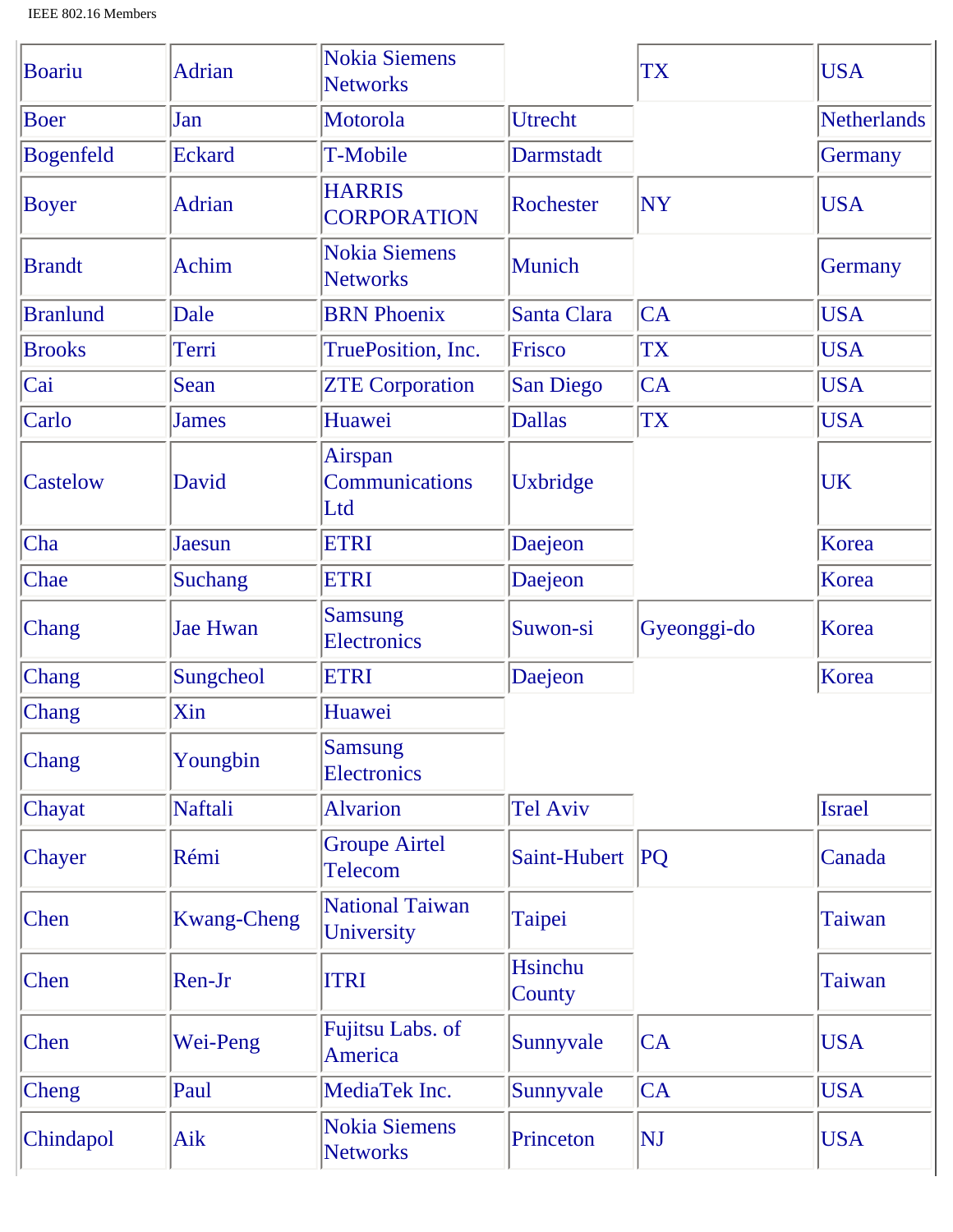| Boariu          | <b>Adrian</b>      | <b>Nokia Siemens</b><br><b>Networks</b> |                          | TX          | <b>USA</b>         |
|-----------------|--------------------|-----------------------------------------|--------------------------|-------------|--------------------|
| <b>Boer</b>     | Jan                | Motorola                                | Utrecht                  |             | <b>Netherlands</b> |
| Bogenfeld       | <b>Eckard</b>      | T-Mobile                                | Darmstadt                |             | Germany            |
| <b>Boyer</b>    | <b>Adrian</b>      | <b>HARRIS</b><br><b>CORPORATION</b>     | Rochester                | <b>NY</b>   | <b>USA</b>         |
| <b>Brandt</b>   | <b>Achim</b>       | <b>Nokia Siemens</b><br><b>Networks</b> | Munich                   |             | Germany            |
| <b>Branlund</b> | Dale               | <b>BRN</b> Phoenix                      | Santa Clara              | CA          | <b>USA</b>         |
| <b>Brooks</b>   | Terri              | TruePosition, Inc.                      | Frisco                   | <b>TX</b>   | <b>USA</b>         |
| Cai             | Sean               | <b>ZTE Corporation</b>                  | San Diego                | CA          | <b>USA</b>         |
| Carlo           | <b>James</b>       | Huawei                                  | <b>Dallas</b>            | <b>TX</b>   | <b>USA</b>         |
| Castelow        | David              | Airspan<br>Communications<br>Ltd        | Uxbridge                 |             | UK                 |
| Cha             | Jaesun             | <b>ETRI</b>                             | Daejeon                  |             | Korea              |
| Chae            | <b>Suchang</b>     | <b>ETRI</b>                             | Daejeon                  |             | Korea              |
| Chang           | <b>Jae Hwan</b>    | <b>Samsung</b><br>Electronics           | Suwon-si                 | Gyeonggi-do | Korea              |
| Chang           | Sungcheol          | <b>ETRI</b>                             | Daejeon                  |             | Korea              |
| Chang           | Xin                | Huawei                                  |                          |             |                    |
| Chang           | Youngbin           | <b>Samsung</b><br>Electronics           |                          |             |                    |
| Chayat          | Naftali            | <b>Alvarion</b>                         | <b>Tel Aviv</b>          |             | <b>Israel</b>      |
| Chayer          | Rémi               | <b>Groupe Airtel</b><br>Telecom         | Saint-Hubert             | PQ          | Canada             |
| Chen            | <b>Kwang-Cheng</b> | <b>National Taiwan</b><br>University    | Taipei                   |             | <b>Taiwan</b>      |
| Chen            | Ren-Jr             | <b>ITRI</b>                             | <b>Hsinchu</b><br>County |             | Taiwan             |
| Chen            | Wei-Peng           | Fujitsu Labs. of<br>America             | Sunnyvale                | CA          | <b>USA</b>         |
| Cheng           | Paul               | MediaTek Inc.                           | Sunnyvale                | CA          | <b>USA</b>         |
| Chindapol       | Aik                | <b>Nokia Siemens</b><br><b>Networks</b> | Princeton                | NJ          | <b>USA</b>         |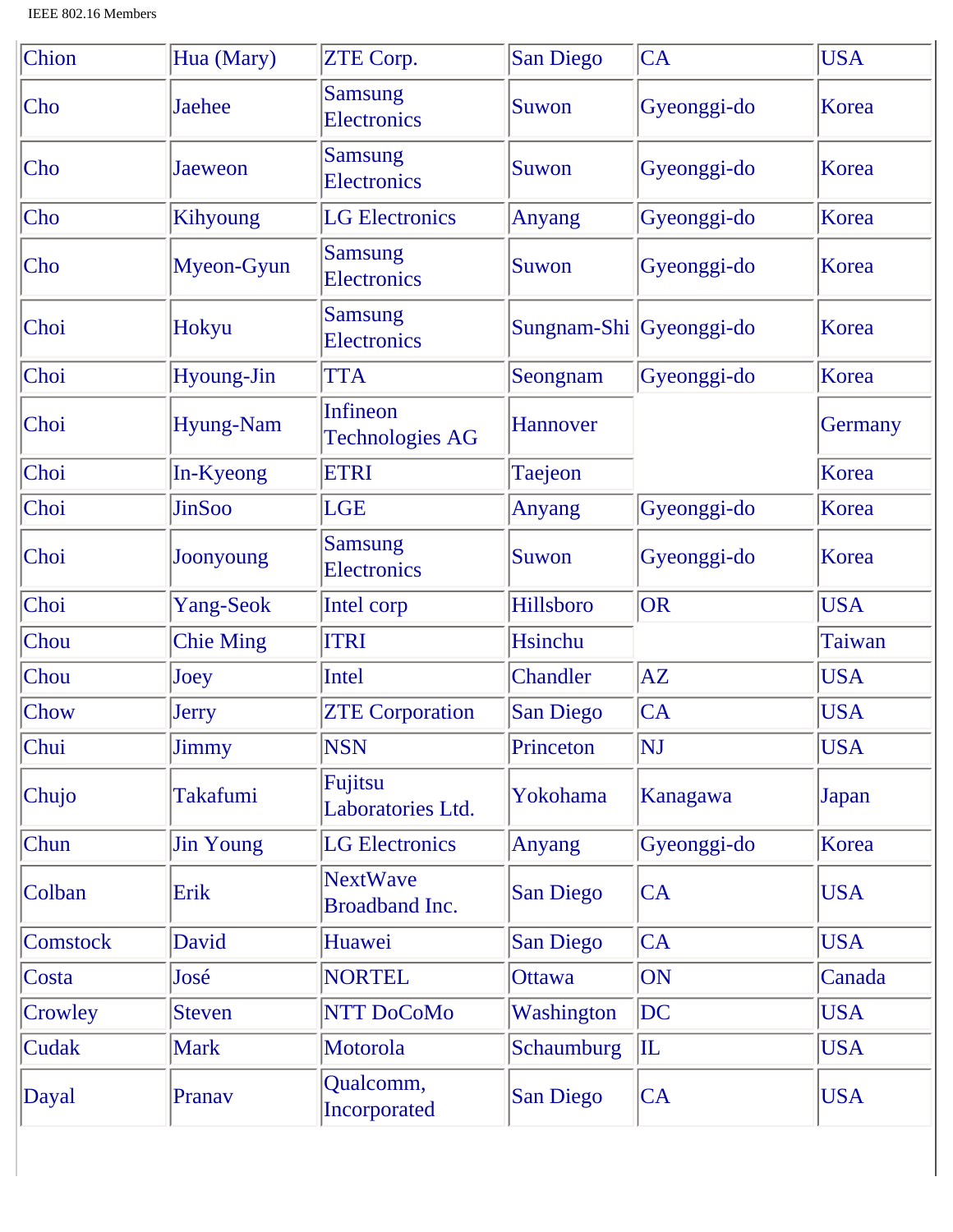| Chion           | Hua (Mary)       | ZTE Corp.                                 | <b>San Diego</b>        | <b>CA</b>      | <b>USA</b> |
|-----------------|------------------|-------------------------------------------|-------------------------|----------------|------------|
| Cho             | <b>Jaehee</b>    | <b>Samsung</b><br><b>Electronics</b>      | Suwon                   | Gyeonggi-do    | Korea      |
| $ $ Cho         | Jaeweon          | <b>Samsung</b><br><b>Electronics</b>      | Suwon                   | Gyeonggi-do    | Korea      |
| $ $ Cho         | Kihyoung         | <b>LG</b> Electronics                     | Anyang                  | Gyeonggi-do    | Korea      |
| Cho             | Myeon-Gyun       | <b>Samsung</b><br><b>Electronics</b>      | Suwon                   | Gyeonggi-do    | Korea      |
| Choi            | Hokyu            | <b>Samsung</b><br><b>Electronics</b>      | Sungnam-Shi Gyeonggi-do |                | Korea      |
| Choi            | Hyoung-Jin       | <b>TTA</b>                                | Seongnam                | Gyeonggi-do    | Korea      |
| Choi            | <b>Hyung-Nam</b> | <b>Infineon</b><br><b>Technologies AG</b> | Hannover                |                | Germany    |
| Choi            | In-Kyeong        | <b>ETRI</b>                               | Taejeon                 |                | Korea      |
| Choi            | <b>JinSoo</b>    | <b>LGE</b>                                | Anyang                  | Gyeonggi-do    | Korea      |
| Choi            | Joonyoung        | <b>Samsung</b><br><b>Electronics</b>      | Suwon                   | Gyeonggi-do    | Korea      |
| Choi            | Yang-Seok        | Intel corp                                | Hillsboro               | <b>OR</b>      | <b>USA</b> |
| Chou            | <b>Chie Ming</b> | <b>ITRI</b>                               | Hsinchu                 |                | Taiwan     |
| Chou            | Joey             | Intel                                     | Chandler                | AZ             | <b>USA</b> |
| <b>Chow</b>     | <b>Jerry</b>     | <b>ZTE Corporation</b>                    | San Diego               | CA             | <b>USA</b> |
| Chui            | Jimmy            | <b>NSN</b>                                | Princeton               | NJ             | <b>USA</b> |
| Chujo           | <b>Takafumi</b>  | Fujitsu<br>Laboratories Ltd.              | Yokohama                | Kanagawa       | Japan      |
| Chun            | <b>Jin Young</b> | <b>LG</b> Electronics                     | Anyang                  | Gyeonggi-do    | Korea      |
| Colban          | Erik             | <b>NextWave</b><br><b>Broadband Inc.</b>  | <b>San Diego</b>        | <b>CA</b>      | <b>USA</b> |
| <b>Comstock</b> | David            | Huawei                                    | San Diego               | <b>CA</b>      | <b>USA</b> |
| Costa           | José             | <b>NORTEL</b>                             | <b>Ottawa</b>           | ON             | Canada     |
| Crowley         | <b>Steven</b>    | NTT DoCoMo                                | Washington              | DC             | <b>USA</b> |
| <b>Cudak</b>    | <b>Mark</b>      | Motorola                                  | Schaumburg              | $ \mathbf{I} $ | <b>USA</b> |
| Dayal           | Pranav           | Qualcomm,<br>Incorporated                 | <b>San Diego</b>        | <b>CA</b>      | <b>USA</b> |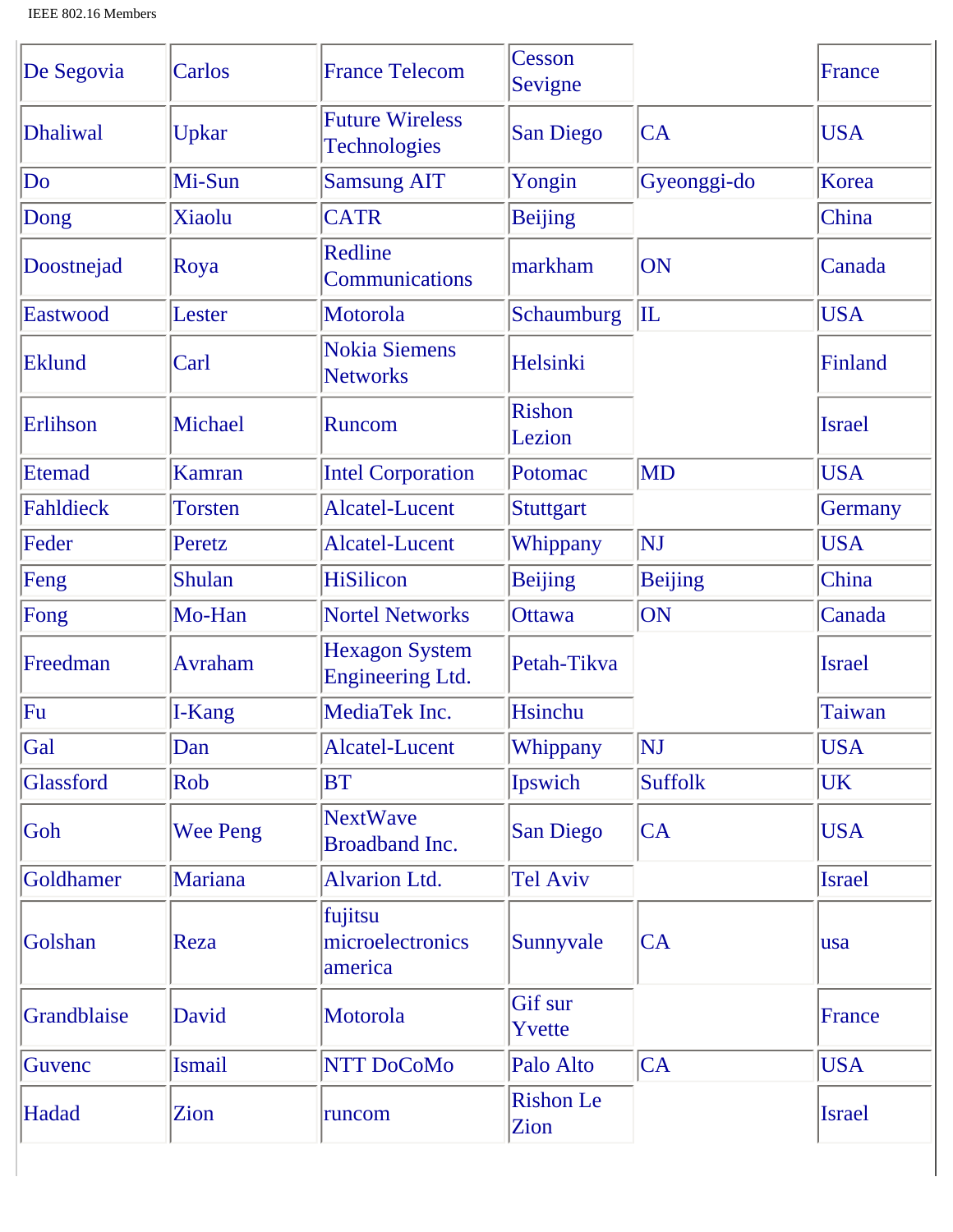| De Segovia  | Carlos          | <b>France Telecom</b>                            | Cesson<br>Sevigne        |                | France        |
|-------------|-----------------|--------------------------------------------------|--------------------------|----------------|---------------|
| Dhaliwal    | Upkar           | <b>Future Wireless</b><br><b>Technologies</b>    | <b>San Diego</b>         | <b>CA</b>      | <b>USA</b>    |
| Do          | Mi-Sun          | <b>Samsung AIT</b>                               | Yongin                   | Gyeonggi-do    | Korea         |
| Dong        | Xiaolu          | <b>CATR</b>                                      | <b>Beijing</b>           |                | China         |
| Doostnejad  | Roya            | Redline<br>Communications                        | markham                  | ON             | Canada        |
| Eastwood    | Lester          | Motorola                                         | Schaumburg               | $ {\rm IL} $   | <b>USA</b>    |
| Eklund      | Carl            | <b>Nokia Siemens</b><br><b>Networks</b>          | Helsinki                 |                | Finland       |
| Erlihson    | Michael         | <b>Runcom</b>                                    | <b>Rishon</b><br>Lezion  |                | <b>Israel</b> |
| Etemad      | Kamran          | <b>Intel Corporation</b>                         | Potomac                  | <b>MD</b>      | <b>USA</b>    |
| Fahldieck   | <b>Torsten</b>  | <b>Alcatel-Lucent</b>                            | Stuttgart                |                | Germany       |
| Feder       | Peretz          | <b>Alcatel-Lucent</b>                            | Whippany                 | NJ             | <b>USA</b>    |
| Feng        | Shulan          | <b>HiSilicon</b>                                 | <b>Beijing</b>           | <b>Beijing</b> | China         |
| Fong        | Mo-Han          | <b>Nortel Networks</b>                           | <b>Ottawa</b>            | ON             | Canada        |
| Freedman    | <b>Avraham</b>  | <b>Hexagon System</b><br><b>Engineering Ltd.</b> | Petah-Tikva              |                | <b>Israel</b> |
| Fu          | I-Kang          | MediaTek Inc.                                    | <b>Hsinchu</b>           |                | Taiwan        |
| Gal         | Dan             | Alcatel-Lucent                                   | Whippany                 | NJ             | <b>USA</b>    |
| Glassford   | Rob             | <b>BT</b>                                        | Ipswich                  | <b>Suffolk</b> | <b>UK</b>     |
| Goh         | <b>Wee Peng</b> | <b>NextWave</b><br><b>Broadband Inc.</b>         | <b>San Diego</b>         | CA             | <b>USA</b>    |
| Goldhamer   | Mariana         | <b>Alvarion Ltd.</b>                             | <b>Tel Aviv</b>          |                | <b>Israel</b> |
| Golshan     | Reza            | fujitsu<br>microelectronics<br>america           | Sunnyvale                | CA             | lusa          |
| Grandblaise | David           | Motorola                                         | Gif sur<br>Yvette        |                | France        |
| Guvenc      | <b>Ismail</b>   | <b>NTT DoCoMo</b>                                | Palo Alto                | CA             | <b>USA</b>    |
| Hadad       | Zion            | runcom                                           | <b>Rishon Le</b><br>Zion |                | <b>Israel</b> |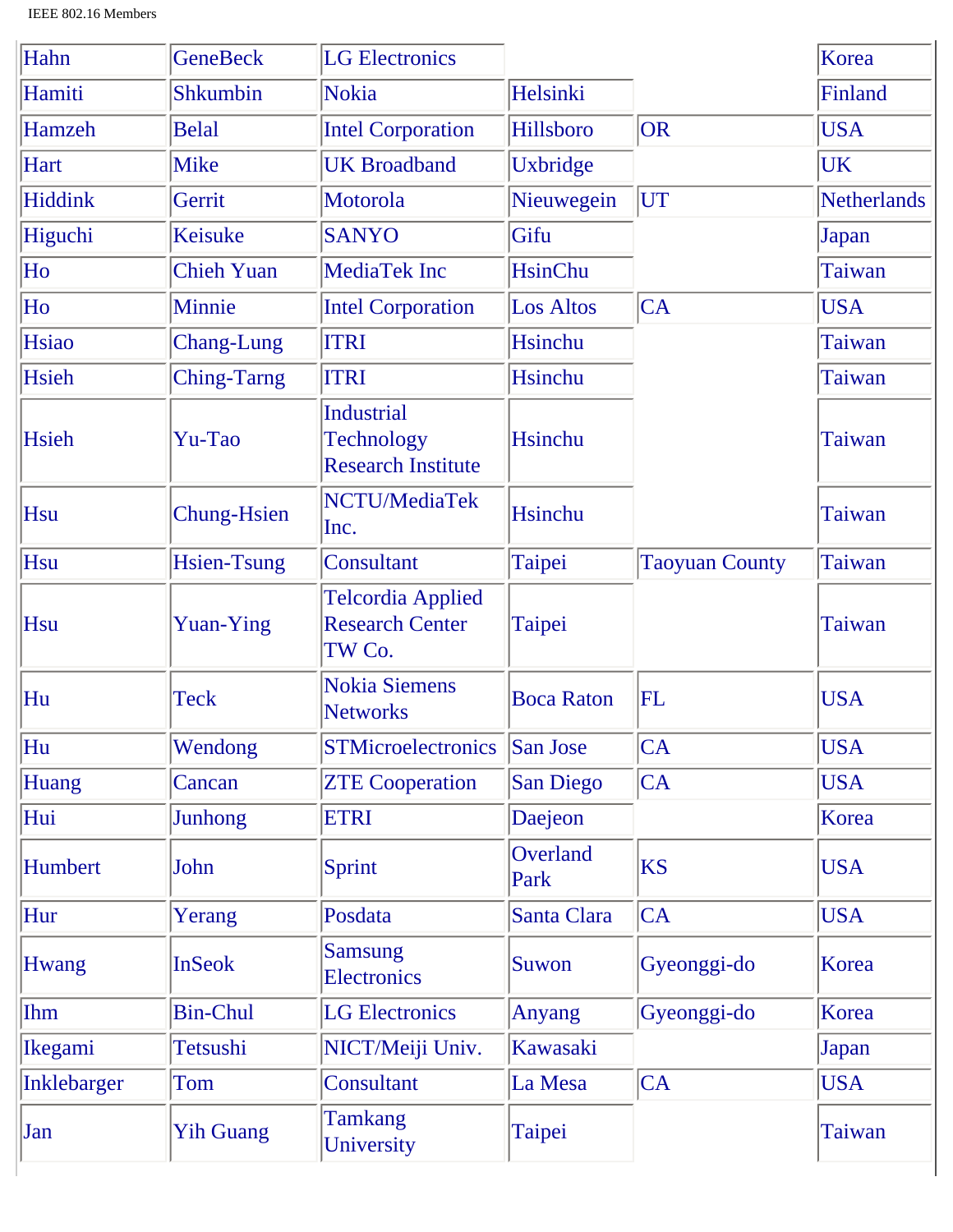| Hahn           | <b>GeneBeck</b>    | <b>LG Electronics</b>                                        |                   |                       | Korea              |
|----------------|--------------------|--------------------------------------------------------------|-------------------|-----------------------|--------------------|
| Hamiti         | <b>Shkumbin</b>    | Nokia                                                        | Helsinki          |                       | Finland            |
| Hamzeh         | <b>Belal</b>       | <b>Intel Corporation</b>                                     | Hillsboro         | OR                    | <b>USA</b>         |
| Hart           | <b>Mike</b>        | <b>UK Broadband</b>                                          | Uxbridge          |                       | UK                 |
| Hiddink        | Gerrit             | Motorola                                                     | Nieuwegein        | UT                    | <b>Netherlands</b> |
| Higuchi        | Keisuke            | <b>SANYO</b>                                                 | Gifu              |                       | Japan              |
| Ho             | <b>Chieh Yuan</b>  | <b>MediaTek Inc</b>                                          | <b>HsinChu</b>    |                       | Taiwan             |
| Ho             | Minnie             | <b>Intel Corporation</b>                                     | <b>Los Altos</b>  | CA                    | <b>USA</b>         |
| Hsiao          | <b>Chang-Lung</b>  | <b>ITRI</b>                                                  | <b>Hsinchu</b>    |                       | Taiwan             |
| Hsieh          | <b>Ching-Tarng</b> | <b>ITRI</b>                                                  | Hsinchu           |                       | Taiwan             |
| Hsieh          | Yu-Tao             | <b>Industrial</b><br>Technology<br><b>Research Institute</b> | Hsinchu           |                       | <b>Taiwan</b>      |
| Hsu            | <b>Chung-Hsien</b> | NCTU/MediaTek<br>Inc.                                        | <b>Hsinchu</b>    |                       | <b>Taiwan</b>      |
| Hsu            | <b>Hsien-Tsung</b> | Consultant                                                   | Taipei            | <b>Taoyuan County</b> | Taiwan             |
| Hsu            | <b>Yuan-Ying</b>   | <b>Telcordia Applied</b><br><b>Research Center</b><br>TW Co. | Taipei            |                       | <b>Taiwan</b>      |
| Hu             | <b>Teck</b>        | <b>Nokia Siemens</b><br><b>Networks</b>                      | <b>Boca Raton</b> | $\rm{FL}$             | <b>USA</b>         |
| Hu             | Wendong            | <b>STMicroelectronics</b>                                    | San Jose          | CA                    | <b>USA</b>         |
| <b>Huang</b>   | Cancan             | <b>ZTE Cooperation</b>                                       | San Diego         | CA                    | <b>USA</b>         |
| Hui            | Junhong            | <b>ETRI</b>                                                  | Daejeon           |                       | Korea              |
| Humbert        | John               | Sprint                                                       | Overland<br>Park  | <b>KS</b>             | <b>USA</b>         |
| Hur            | Yerang             | Posdata                                                      | Santa Clara       | CA                    | <b>USA</b>         |
| <b>Hwang</b>   | <b>InSeok</b>      | <b>Samsung</b><br><b>Electronics</b>                         | Suwon             | Gyeonggi-do           | Korea              |
| Ihm            | <b>Bin-Chul</b>    | <b>LG Electronics</b>                                        | Anyang            | Gyeonggi-do           | Korea              |
| <b>Ikegami</b> | Tetsushi           | NICT/Meiji Univ.                                             | Kawasaki          |                       | Japan              |
| Inklebarger    | Tom                | Consultant                                                   | La Mesa           | CA                    | <b>USA</b>         |
| Jan            | <b>Yih Guang</b>   | <b>Tamkang</b><br>University                                 | Taipei            |                       | Taiwan             |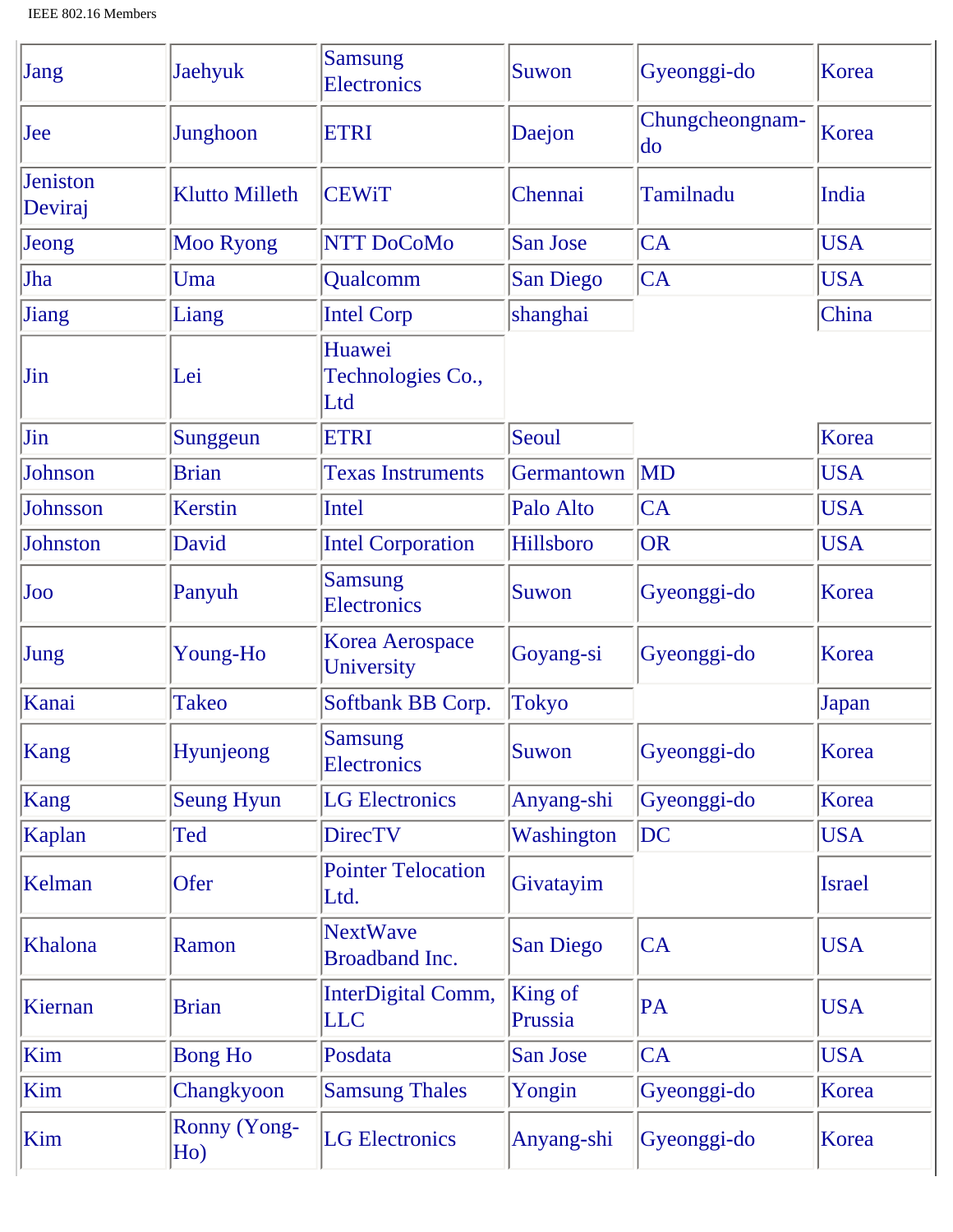| Jang                       | <b>Jaehyuk</b>             | <b>Samsung</b><br><b>Electronics</b>     | Suwon              | Gyeonggi-do           | Korea         |
|----------------------------|----------------------------|------------------------------------------|--------------------|-----------------------|---------------|
| Jee                        | Junghoon                   | <b>ETRI</b>                              | Daejon             | Chungcheongnam-<br>do | Korea         |
| <b>Jeniston</b><br>Deviraj | <b>Klutto Milleth</b>      | <b>CEWiT</b>                             | Chennai            | Tamilnadu             | India         |
| Jeong                      | <b>Moo Ryong</b>           | <b>NTT DoCoMo</b>                        | <b>San Jose</b>    | CA                    | <b>USA</b>    |
| Jha                        | Uma                        | Qualcomm                                 | <b>San Diego</b>   | CA                    | <b>USA</b>    |
| Jiang                      | Liang                      | <b>Intel Corp</b>                        | shanghai           |                       | China         |
| Jin                        | Lei                        | Huawei<br>Technologies Co.,<br>Ltd       |                    |                       |               |
| Jin                        | Sunggeun                   | <b>ETRI</b>                              | Seoul              |                       | Korea         |
| <b>Johnson</b>             | <b>Brian</b>               | <b>Texas Instruments</b>                 | Germantown         | MD                    | <b>USA</b>    |
| <b>Johnsson</b>            | <b>Kerstin</b>             | <b>Intel</b>                             | Palo Alto          | CA                    | <b>USA</b>    |
| Johnston                   | David                      | <b>Intel Corporation</b>                 | Hillsboro          | OR                    | <b>USA</b>    |
| Joo                        | Panyuh                     | <b>Samsung</b><br><b>Electronics</b>     | Suwon              | Gyeonggi-do           | Korea         |
| Jung                       | Young-Ho                   | <b>Korea Aerospace</b><br>University     | Goyang-si          | Gyeonggi-do           | Korea         |
| Kanai                      | <b>Takeo</b>               | Softbank BB Corp.                        | <b>Tokyo</b>       |                       | Japan         |
| Kang                       | Hyunjeong                  | <b>Samsung</b><br><b>Electronics</b>     | Suwon              | Gyeonggi-do           | Korea         |
| Kang                       | <b>Seung Hyun</b>          | <b>LG Electronics</b>                    | Anyang-shi         | Gyeonggi-do           | Korea         |
| Kaplan                     | Ted                        | <b>DirecTV</b>                           | Washington         | DC                    | <b>USA</b>    |
| Kelman                     | Ofer                       | <b>Pointer Telocation</b><br>Ltd.        | Givatayim          |                       | <b>Israel</b> |
| Khalona                    | Ramon                      | <b>NextWave</b><br><b>Broadband Inc.</b> | <b>San Diego</b>   | CA                    | <b>USA</b>    |
| Kiernan                    | <b>Brian</b>               | InterDigital Comm,<br><b>LLC</b>         | King of<br>Prussia | PA                    | <b>USA</b>    |
| Kim                        | <b>Bong Ho</b>             | Posdata                                  | San Jose           | CA                    | <b>USA</b>    |
| Kim                        | Changkyoon                 | <b>Samsung Thales</b>                    | Yongin             | Gyeonggi-do           | Korea         |
| Kim                        | <b>Ronny (Yong-</b><br>Ho) | <b>LG</b> Electronics                    | Anyang-shi         | Gyeonggi-do           | Korea         |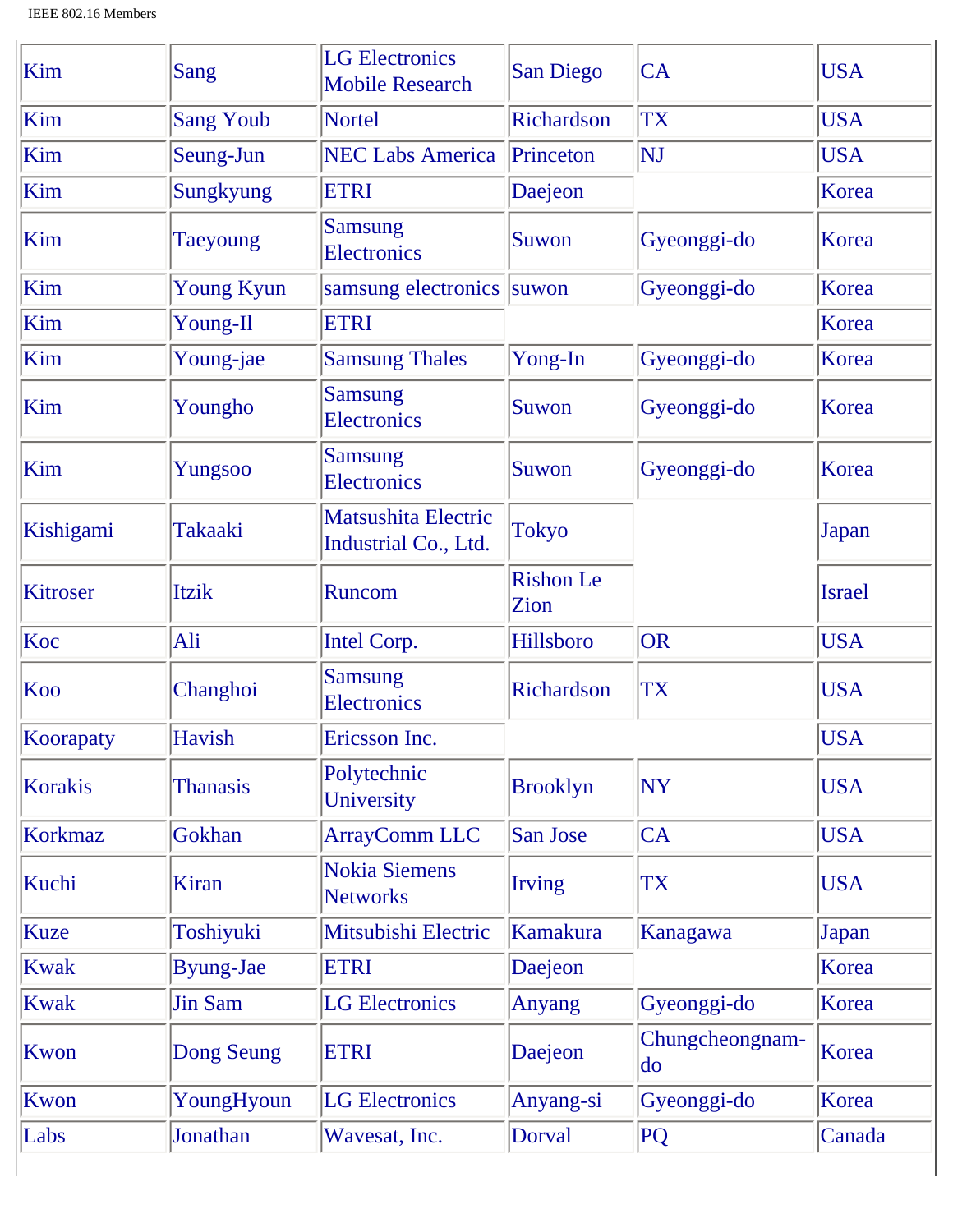| Kim             | Sang              | <b>LG Electronics</b><br><b>Mobile Research</b> | <b>San Diego</b>         | CA                        | <b>USA</b>    |
|-----------------|-------------------|-------------------------------------------------|--------------------------|---------------------------|---------------|
| Kim             | <b>Sang Youb</b>  | <b>Nortel</b>                                   | Richardson               | <b>TX</b>                 | <b>USA</b>    |
| Kim             | Seung-Jun         | <b>NEC Labs America</b>                         | Princeton                | NJ                        | <b>USA</b>    |
| Kim             | Sungkyung         | <b>ETRI</b>                                     | Daejeon                  |                           | Korea         |
| Kim             | <b>Taeyoung</b>   | <b>Samsung</b><br><b>Electronics</b>            | Suwon                    | Gyeonggi-do               | Korea         |
| Kim             | <b>Young Kyun</b> | samsung electronics suwon                       |                          | Gyeonggi-do               | Korea         |
| Kim             | Young-Il          | <b>ETRI</b>                                     |                          |                           | Korea         |
| Kim             | Young-jae         | <b>Samsung Thales</b>                           | Yong-In                  | Gyeonggi-do               | Korea         |
| Kim             | Youngho           | <b>Samsung</b><br><b>Electronics</b>            | <b>Suwon</b>             | Gyeonggi-do               | Korea         |
| Kim             | Yungsoo           | <b>Samsung</b><br><b>Electronics</b>            | <b>Suwon</b>             | Gyeonggi-do               | Korea         |
| Kishigami       | Takaaki           | Matsushita Electric<br>Industrial Co., Ltd.     | <b>Tokyo</b>             |                           | Japan         |
| <b>Kitroser</b> | Itzik             | Runcom                                          | <b>Rishon</b> Le<br>Zion |                           | <b>Israel</b> |
| Koc             | Ali               | <b>Intel Corp.</b>                              | Hillsboro                | <b>OR</b>                 | <b>USA</b>    |
| Koo             | Changhoi          | <b>Samsung</b><br><b>Electronics</b>            | Richardson               | <b>TX</b>                 | <b>USA</b>    |
| Koorapaty       | Havish            | Ericsson Inc.                                   |                          |                           | <b>USA</b>    |
| <b>Korakis</b>  | <b>Thanasis</b>   | Polytechnic<br>University                       | <b>Brooklyn</b>          | <b>NY</b>                 | <b>USA</b>    |
| <b>Korkmaz</b>  | Gokhan            | <b>ArrayComm LLC</b>                            | <b>San Jose</b>          | CA                        | <b>USA</b>    |
| Kuchi           | <b>Kiran</b>      | <b>Nokia Siemens</b><br><b>Networks</b>         | <b>Irving</b>            | <b>TX</b>                 | <b>USA</b>    |
| <b>Kuze</b>     | Toshiyuki         | Mitsubishi Electric                             | <b>Kamakura</b>          | Kanagawa                  | Japan         |
| <b>Kwak</b>     | <b>Byung-Jae</b>  | <b>ETRI</b>                                     | Daejeon                  |                           | Korea         |
| <b>Kwak</b>     | <b>Jin Sam</b>    | <b>LG Electronics</b>                           | <b>Anyang</b>            | Gyeonggi-do               | Korea         |
| Kwon            | Dong Seung        | <b>ETRI</b>                                     | Daejeon                  | Chungcheongnam-<br>$\log$ | Korea         |
| Kwon            | YoungHyoun        | <b>LG</b> Electronics                           | Anyang-si                | Gyeonggi-do               | Korea         |
| Labs            | Jonathan          | Wavesat, Inc.                                   | Dorval                   | PQ                        | Canada        |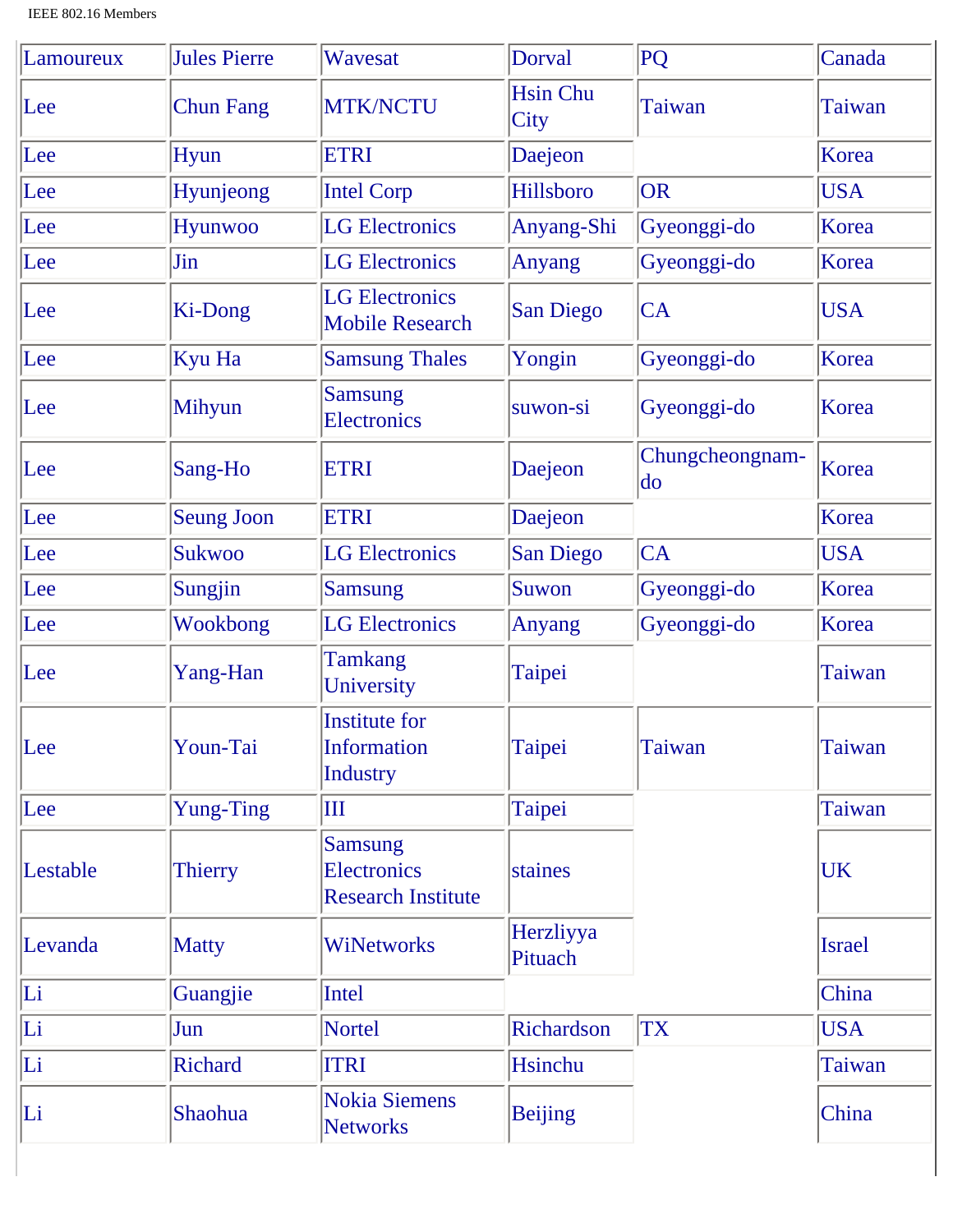| Lamoureux | <b>Jules Pierre</b> | Wavesat                                                       | Dorval                         | PQ                    | Canada        |
|-----------|---------------------|---------------------------------------------------------------|--------------------------------|-----------------------|---------------|
| Lee       | <b>Chun Fang</b>    | <b>MTK/NCTU</b>                                               | <b>Hsin Chu</b><br><b>City</b> | <b>Taiwan</b>         | Taiwan        |
| Lee       | <b>Hyun</b>         | <b>ETRI</b>                                                   | Daejeon                        |                       | Korea         |
| Lee       | Hyunjeong           | <b>Intel Corp</b>                                             | Hillsboro                      | OR                    | <b>USA</b>    |
| Lee       | Hyunwoo             | <b>LG</b> Electronics                                         | Anyang-Shi                     | Gyeonggi-do           | Korea         |
| Lee       | Jin                 | <b>LG</b> Electronics                                         | <b>Anyang</b>                  | Gyeonggi-do           | Korea         |
| Lee       | Ki-Dong             | <b>LG</b> Electronics<br><b>Mobile Research</b>               | <b>San Diego</b>               | CA                    | <b>USA</b>    |
| Lee       | Kyu Ha              | <b>Samsung Thales</b>                                         | Yongin                         | Gyeonggi-do           | Korea         |
| Lee       | Mihyun              | <b>Samsung</b><br><b>Electronics</b>                          | suwon-si                       | Gyeonggi-do           | Korea         |
| Lee       | Sang-Ho             | <b>ETRI</b>                                                   | Daejeon                        | Chungcheongnam-<br>do | Korea         |
| Lee       | <b>Seung Joon</b>   | <b>ETRI</b>                                                   | Daejeon                        |                       | Korea         |
| Lee       | <b>Sukwoo</b>       | <b>LG</b> Electronics                                         | <b>San Diego</b>               | CA                    | <b>USA</b>    |
| Lee       | Sungjin             | <b>Samsung</b>                                                | Suwon                          | Gyeonggi-do           | Korea         |
| Lee       | Wookbong            | <b>LG Electronics</b>                                         | <b>Anyang</b>                  | Gyeonggi-do           | Korea         |
| Lee       | Yang-Han            | <b>Tamkang</b><br>University                                  | Taipei                         |                       | <b>Taiwan</b> |
| Lee       | Youn-Tai            | <b>Institute for</b><br><b>Information</b><br><b>Industry</b> | Taipei                         | Taiwan                | <b>Taiwan</b> |
| Lee       | <b>Yung-Ting</b>    | Ш                                                             | Taipei                         |                       | Taiwan        |
| Lestable  | Thierry             | <b>Samsung</b><br>Electronics<br><b>Research Institute</b>    | staines                        |                       | UK            |
| Levanda   | <b>Matty</b>        | <b>WiNetworks</b>                                             | Herzliyya<br>Pituach           |                       | <b>Israel</b> |
| Li        | Guangjie            | <b>Intel</b>                                                  |                                |                       | China         |
| Li        | Jun                 | Nortel                                                        | Richardson                     | <b>TX</b>             | <b>USA</b>    |
| Li        | <b>Richard</b>      | <b>ITRI</b>                                                   | Hsinchu                        |                       | Taiwan        |
| Li        | Shaohua             | <b>Nokia Siemens</b><br><b>Networks</b>                       | <b>Beijing</b>                 |                       | China         |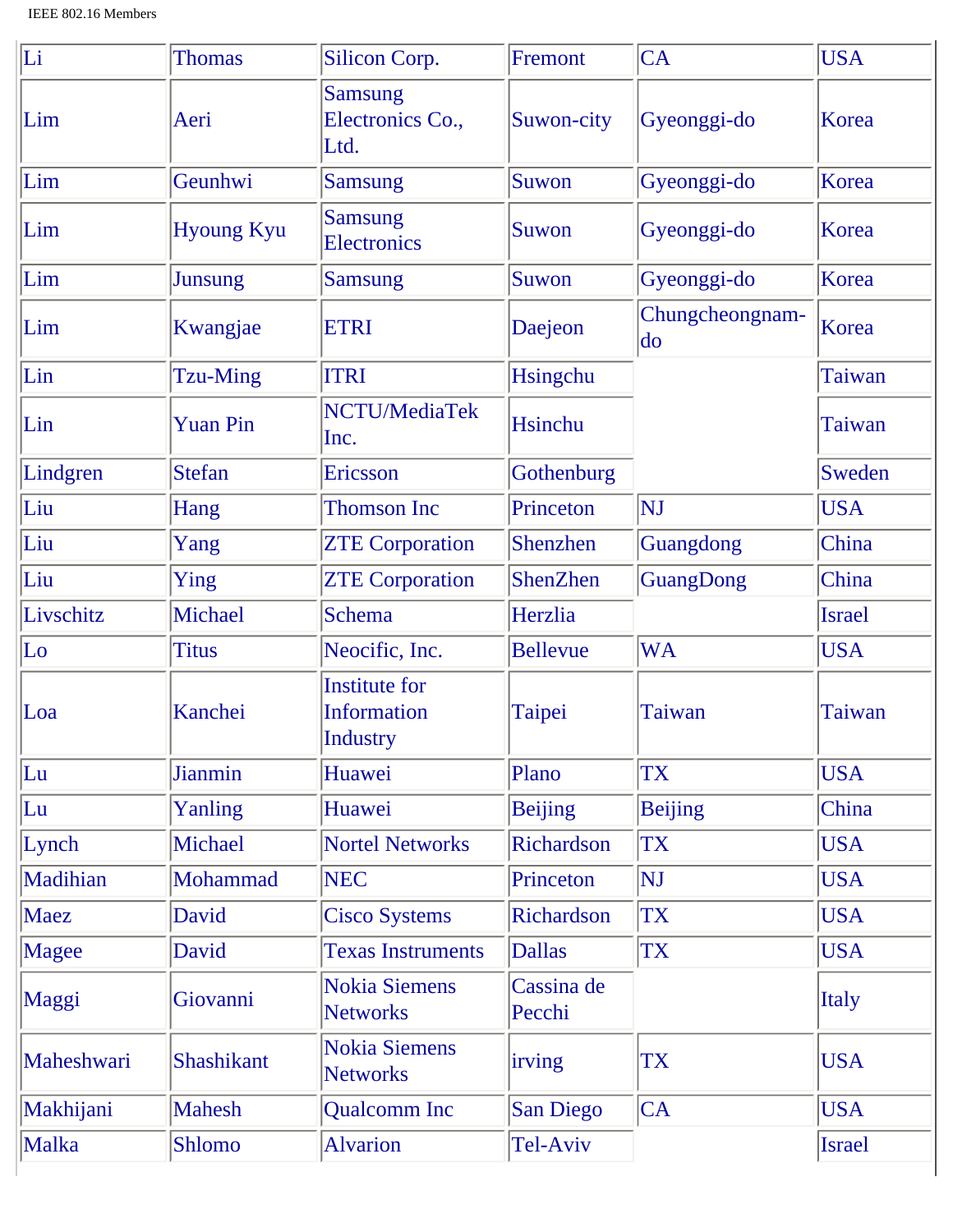| Li         | <b>Thomas</b>     | Silicon Corp.                                          | Fremont              | CA                        | <b>USA</b>    |
|------------|-------------------|--------------------------------------------------------|----------------------|---------------------------|---------------|
| Lim        | Aeri              | <b>Samsung</b><br>Electronics Co.,<br>Ltd.             | Suwon-city           | Gyeonggi-do               | Korea         |
| Lim        | Geunhwi           | <b>Samsung</b>                                         | Suwon                | Gyeonggi-do               | Korea         |
| Lim        | <b>Hyoung Kyu</b> | <b>Samsung</b><br><b>Electronics</b>                   | Suwon                | Gyeonggi-do               | Korea         |
| Lim        | <b>Junsung</b>    | <b>Samsung</b>                                         | Suwon                | Gyeonggi-do               | Korea         |
| Lim        | Kwangjae          | <b>ETRI</b>                                            | Daejeon              | Chungcheongnam-<br>$\log$ | Korea         |
| Lin        | Tzu-Ming          | <b>ITRI</b>                                            | Hsingchu             |                           | Taiwan        |
| Lin        | <b>Yuan Pin</b>   | NCTU/MediaTek<br>Inc.                                  | <b>Hsinchu</b>       |                           | <b>Taiwan</b> |
| Lindgren   | <b>Stefan</b>     | Ericsson                                               | Gothenburg           |                           | Sweden        |
| Liu        | Hang              | <b>Thomson Inc</b>                                     | Princeton            | <b>NJ</b>                 | <b>USA</b>    |
| Liu        | Yang              | <b>ZTE Corporation</b>                                 | Shenzhen             | Guangdong                 | China         |
| Liu        | Ying              | <b>ZTE Corporation</b>                                 | ShenZhen             | GuangDong                 | China         |
| Livschitz  | Michael           | <b>Schema</b>                                          | Herzlia              |                           | <b>Israel</b> |
| $ $ Lo     | <b>Titus</b>      | Neocific, Inc.                                         | <b>Bellevue</b>      | <b>WA</b>                 | <b>USA</b>    |
| Loa        | Kanchei           | <b>Institute for</b><br><b>Information</b><br>Industry | Taipei               | Taiwan                    | Taiwan        |
| Lu         | <b>Jianmin</b>    | Huawei                                                 | Plano                | TX                        | <b>USA</b>    |
| Lu         | Yanling           | Huawei                                                 | <b>Beijing</b>       | <b>Beijing</b>            | China         |
| Lynch      | Michael           | <b>Nortel Networks</b>                                 | Richardson           | TX                        | <b>USA</b>    |
| Madihian   | Mohammad          | <b>NEC</b>                                             | Princeton            | <b>NJ</b>                 | <b>USA</b>    |
| Maez       | David             | <b>Cisco Systems</b>                                   | Richardson           | <b>TX</b>                 | <b>USA</b>    |
| Magee      | David             | <b>Texas Instruments</b>                               | <b>Dallas</b>        | TX                        | <b>USA</b>    |
| Maggi      | Giovanni          | <b>Nokia Siemens</b><br><b>Networks</b>                | Cassina de<br>Pecchi |                           | <b>Italy</b>  |
| Maheshwari | <b>Shashikant</b> | <b>Nokia Siemens</b><br><b>Networks</b>                | irving               | TX                        | <b>USA</b>    |
| Makhijani  | <b>Mahesh</b>     | <b>Qualcomm</b> Inc                                    | San Diego            | CA                        | <b>USA</b>    |
| Malka      | Shlomo            | <b>Alvarion</b>                                        | Tel-Aviv             |                           | <b>Israel</b> |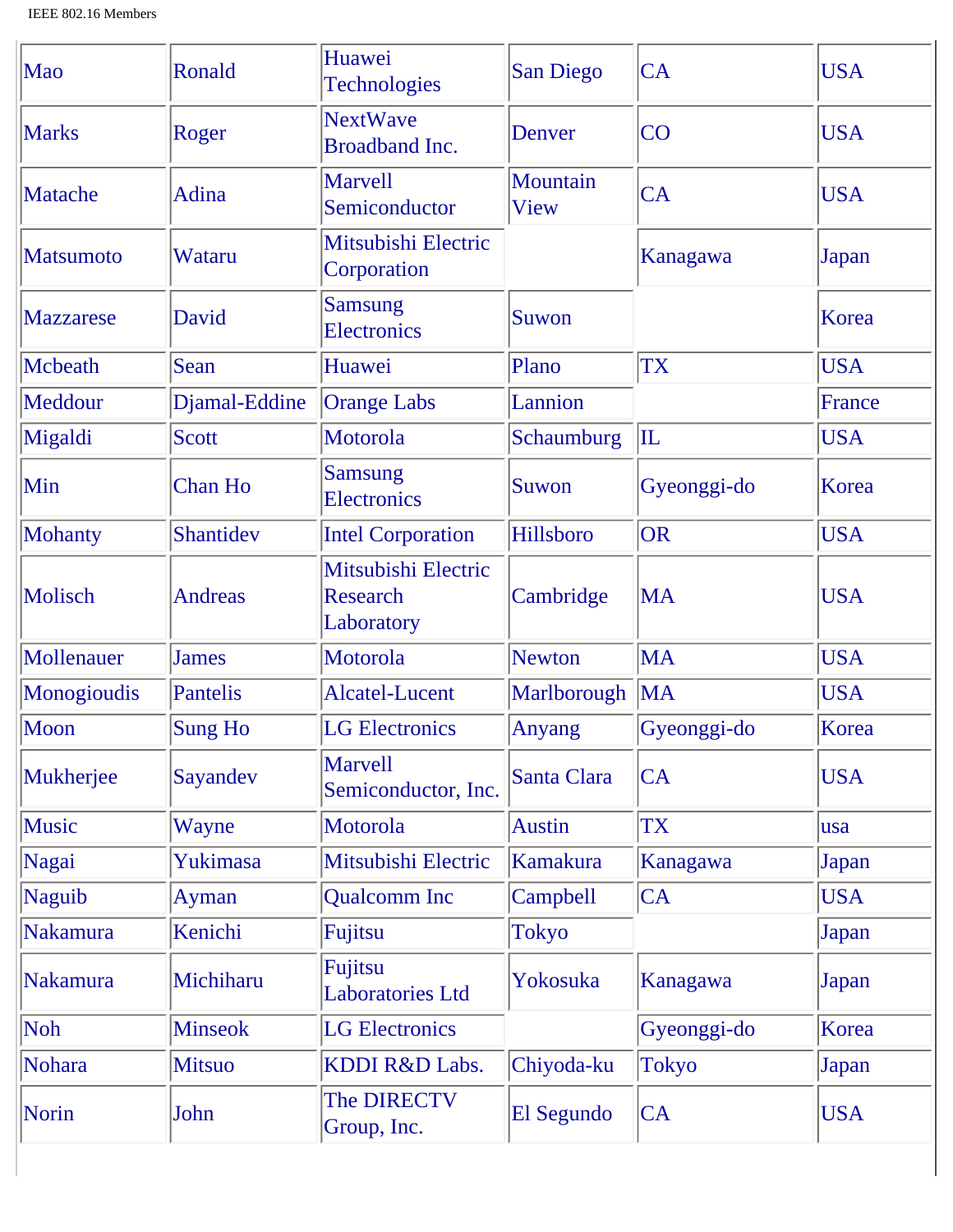| Mao              | Ronald         | Huawei<br><b>Technologies</b>                        | <b>San Diego</b> | CA           | <b>USA</b> |
|------------------|----------------|------------------------------------------------------|------------------|--------------|------------|
| <b>Marks</b>     | Roger          | <b>NextWave</b><br><b>Broadband Inc.</b>             | Denver           | <b>CO</b>    | <b>USA</b> |
| Matache          | Adina          | <b>Marvell</b><br>Semiconductor                      | Mountain<br>View | <b>CA</b>    | <b>USA</b> |
| <b>Matsumoto</b> | Wataru         | Mitsubishi Electric<br>Corporation                   |                  | Kanagawa     | Japan      |
| <b>Mazzarese</b> | David          | <b>Samsung</b><br><b>Electronics</b>                 | Suwon            |              | Korea      |
| Mcbeath          | Sean           | Huawei                                               | Plano            | <b>TX</b>    | <b>USA</b> |
| Meddour          | Djamal-Eddine  | <b>Orange Labs</b>                                   | Lannion          |              | France     |
| Migaldi          | <b>Scott</b>   | Motorola                                             | Schaumburg       | $ {\rm II} $ | <b>USA</b> |
| Min              | <b>Chan Ho</b> | <b>Samsung</b><br><b>Electronics</b>                 | Suwon            | Gyeonggi-do  | Korea      |
| Mohanty          | Shantidev      | <b>Intel Corporation</b>                             | Hillsboro        | <b>OR</b>    | <b>USA</b> |
| Molisch          | <b>Andreas</b> | Mitsubishi Electric<br><b>Research</b><br>Laboratory | Cambridge        | MA           | <b>USA</b> |
| Mollenauer       | <b>James</b>   | Motorola                                             | <b>Newton</b>    | <b>MA</b>    | <b>USA</b> |
| Monogioudis      | Pantelis       | <b>Alcatel-Lucent</b>                                | Marlborough      | <b>MA</b>    | <b>USA</b> |
| Moon             | <b>Sung Ho</b> | <b>LG</b> Electronics                                | Anyang           | Gyeonggi-do  | Korea      |
| Mukherjee        | Sayandev       | <b>Marvell</b><br>Semiconductor, Inc.                | Santa Clara      | CA           | <b>USA</b> |
| Music            | Wayne          | Motorola                                             | <b>Austin</b>    | <b>TX</b>    | lusa       |
| Nagai            | Yukimasa       | Mitsubishi Electric                                  | Kamakura         | Kanagawa     | Japan      |
| Naguib           | Ayman          | <b>Qualcomm</b> Inc                                  | Campbell         | CA           | <b>USA</b> |
| Nakamura         | Kenichi        | Fujitsu                                              | <b>Tokyo</b>     |              | Japan      |
| Nakamura         | Michiharu      | Fujitsu<br><b>Laboratories Ltd</b>                   | Yokosuka         | Kanagawa     | Japan      |
| Noh              | <b>Minseok</b> | <b>LG Electronics</b>                                |                  | Gyeonggi-do  | Korea      |
| Nohara           | <b>Mitsuo</b>  | KDDI R&D Labs.                                       | Chiyoda-ku       | <b>Tokyo</b> | Japan      |
| Norin            | John           | The DIRECTV<br>Group, Inc.                           | El Segundo       | CA           | <b>USA</b> |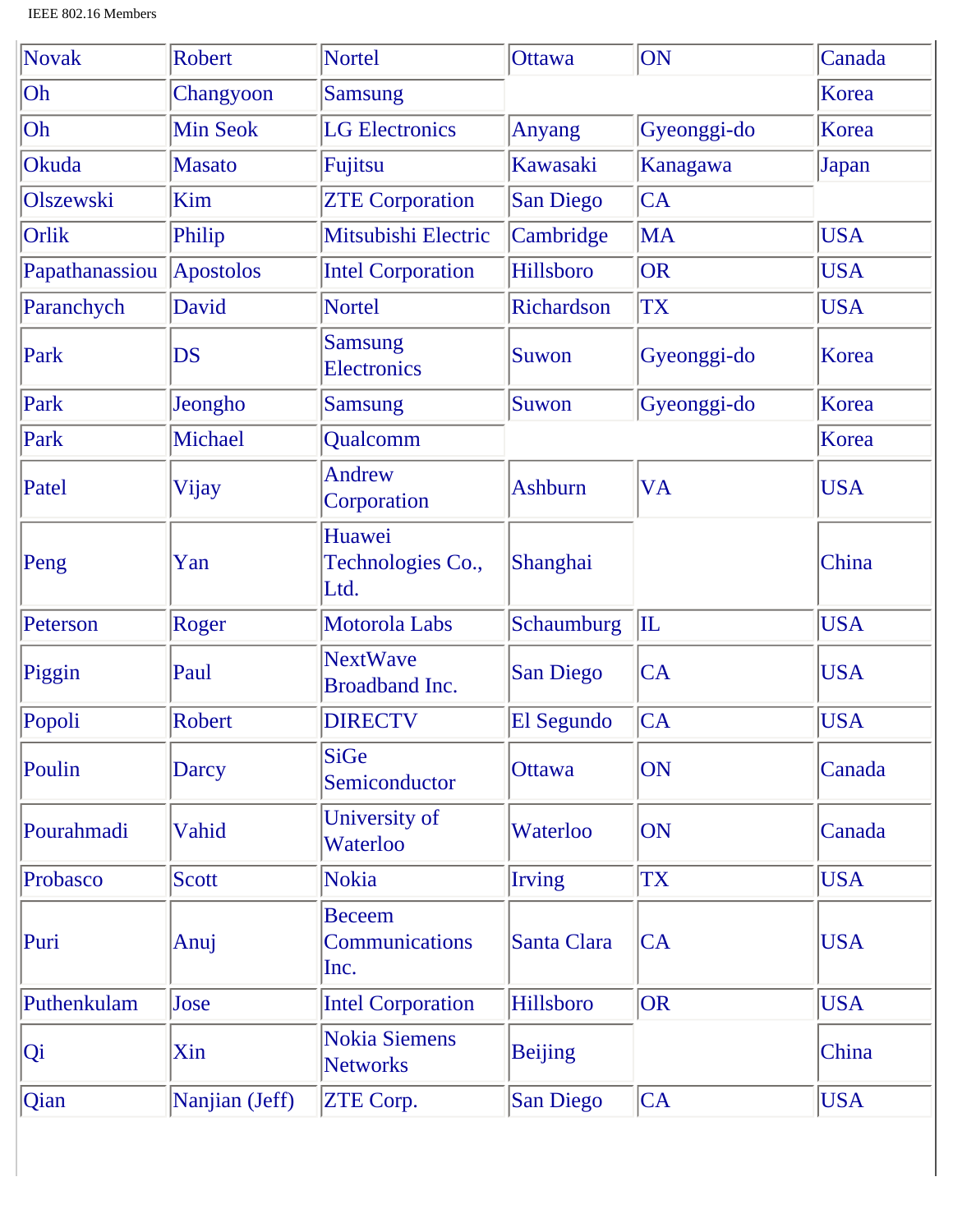| Novak          | <b>Robert</b>    | <b>Nortel</b>                                  | <b>Ottawa</b>    | ON           | Canada     |
|----------------|------------------|------------------------------------------------|------------------|--------------|------------|
| Oh             | Changyoon        | <b>Samsung</b>                                 |                  |              | Korea      |
| Oh             | <b>Min Seok</b>  | <b>LG</b> Electronics                          | <b>Anyang</b>    | Gyeonggi-do  | Korea      |
| Okuda          | <b>Masato</b>    | Fujitsu                                        | Kawasaki         | Kanagawa     | Japan      |
| Olszewski      | Kim              | <b>ZTE Corporation</b>                         | <b>San Diego</b> | CA           |            |
| Orlik          | Philip           | Mitsubishi Electric                            | Cambridge        | <b>MA</b>    | <b>USA</b> |
| Papathanassiou | <b>Apostolos</b> | <b>Intel Corporation</b>                       | Hillsboro        | <b>OR</b>    | <b>USA</b> |
| Paranchych     | David            | <b>Nortel</b>                                  | Richardson       | <b>TX</b>    | <b>USA</b> |
| Park           | <b>DS</b>        | <b>Samsung</b><br><b>Electronics</b>           | Suwon            | Gyeonggi-do  | Korea      |
| Park           | Jeongho          | <b>Samsung</b>                                 | Suwon            | Gyeonggi-do  | Korea      |
| Park           | Michael          | Qualcomm                                       |                  |              | Korea      |
| Patel          | Vijay            | <b>Andrew</b><br>Corporation                   | <b>Ashburn</b>   | VA           | <b>USA</b> |
| Peng           | Yan              | Huawei<br>Technologies Co.,<br>Ltd.            | Shanghai         |              | China      |
| Peterson       | Roger            | Motorola Labs                                  | Schaumburg       | $\mathbb{L}$ | <b>USA</b> |
| Piggin         | Paul             | <b>NextWave</b><br>Broadband Inc.              | <b>San Diego</b> | CA           | <b>USA</b> |
| Popoli         | Robert           | <b>DIRECTV</b>                                 | El Segundo       | CA           | <b>USA</b> |
| Poulin         | Darcy            | <b>SiGe</b><br>Semiconductor                   | Ottawa           | ON           | Canada     |
| Pourahmadi     | Vahid            | University of<br>Waterloo                      | Waterloo         | ON           | Canada     |
| Probasco       | <b>Scott</b>     | <b>Nokia</b>                                   | <b>Irving</b>    | <b>TX</b>    | <b>USA</b> |
| Puri           | Anuj             | <b>Beceem</b><br><b>Communications</b><br>Inc. | Santa Clara      | CA           | <b>USA</b> |
| Puthenkulam    | Jose             | <b>Intel Corporation</b>                       | Hillsboro        | OR           | <b>USA</b> |
| Qi             | Xin              | <b>Nokia Siemens</b><br><b>Networks</b>        | <b>Beijing</b>   |              | China      |
| Qian           | Nanjian (Jeff)   | <b>ZTE Corp.</b>                               | <b>San Diego</b> | CA           | <b>USA</b> |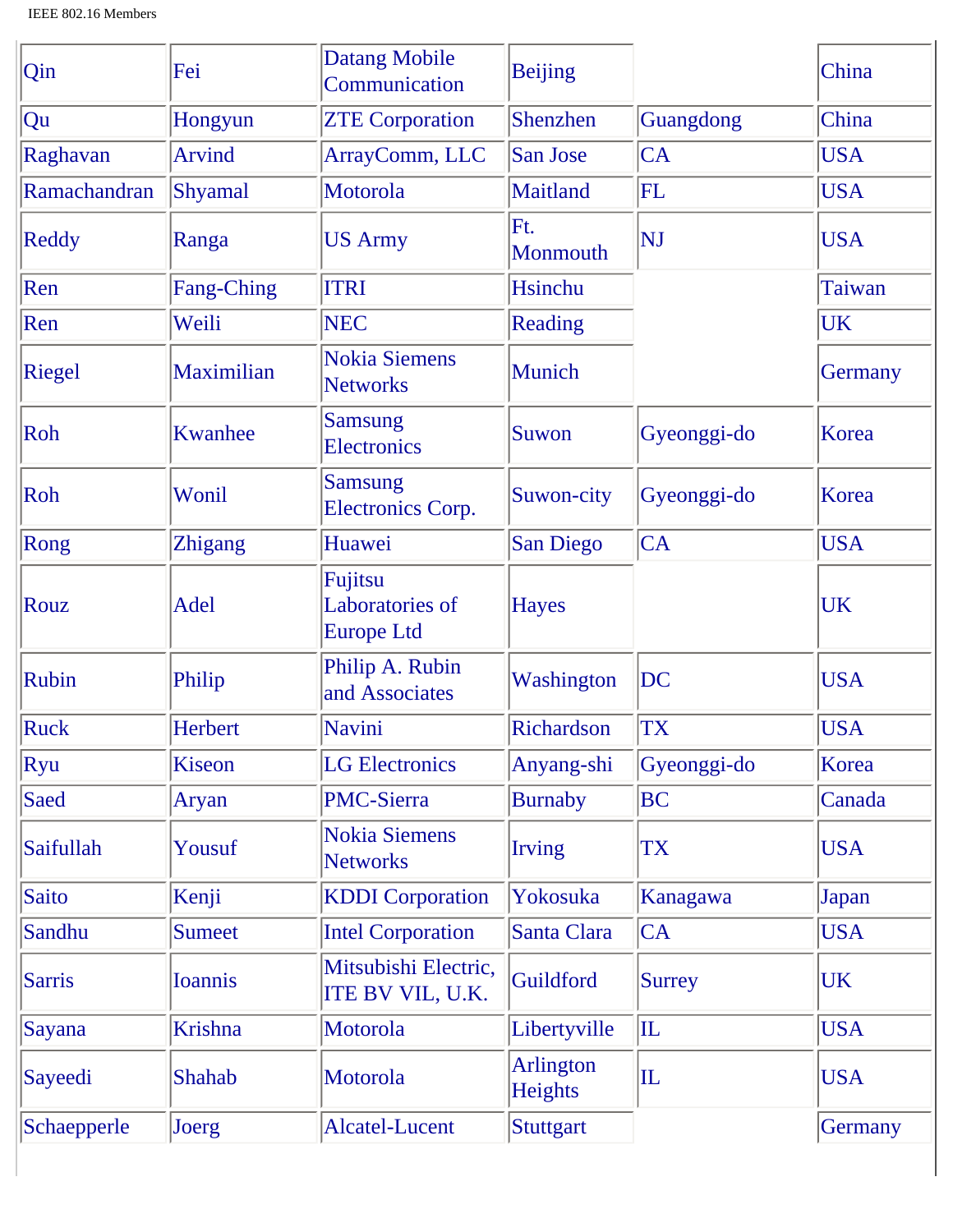| Qin          | Fei               | <b>Datang Mobile</b><br>Communication           | <b>Beijing</b>       |                | China      |
|--------------|-------------------|-------------------------------------------------|----------------------|----------------|------------|
| Qu           | Hongyun           | <b>ZTE Corporation</b>                          | Shenzhen             | Guangdong      | China      |
| Raghavan     | <b>Arvind</b>     | ArrayComm, LLC                                  | San Jose             | CA             | <b>USA</b> |
| Ramachandran | Shyamal           | Motorola                                        | Maitland             | FL             | <b>USA</b> |
| Reddy        | Ranga             | <b>US Army</b>                                  | Ft.<br>Monmouth      | NJ             | <b>USA</b> |
| Ren          | <b>Fang-Ching</b> | <b>ITRI</b>                                     | Hsinchu              |                | Taiwan     |
| Ren          | Weili             | <b>NEC</b>                                      | Reading              |                | <b>UK</b>  |
| Riegel       | Maximilian        | <b>Nokia Siemens</b><br><b>Networks</b>         | Munich               |                | Germany    |
| Roh          | <b>Kwanhee</b>    | <b>Samsung</b><br><b>Electronics</b>            | Suwon                | Gyeonggi-do    | Korea      |
| Roh          | Wonil             | <b>Samsung</b><br><b>Electronics Corp.</b>      | Suwon-city           | Gyeonggi-do    | Korea      |
| Rong         | <b>Zhigang</b>    | Huawei                                          | San Diego            | CA             | <b>USA</b> |
| Rouz         | <b>Adel</b>       | Fujitsu<br>Laboratories of<br><b>Europe Ltd</b> | <b>Hayes</b>         |                | UK         |
| Rubin        | Philip            | Philip A. Rubin<br>and Associates               | Washington           | DC             | <b>USA</b> |
| Ruck         | Herbert           | Navini                                          | Richardson           | <b>TX</b>      | <b>USA</b> |
| Ryu          | Kiseon            | <b>LG Electronics</b>                           | Anyang-shi           | Gyeonggi-do    | Korea      |
| Saed         | Aryan             | <b>PMC-Sierra</b>                               | <b>Burnaby</b>       | BC             | Canada     |
| Saifullah    | Yousuf            | <b>Nokia Siemens</b><br><b>Networks</b>         | <b>Irving</b>        | TX             | <b>USA</b> |
| Saito        | Kenji             | <b>KDDI</b> Corporation                         | Yokosuka             | Kanagawa       | Japan      |
| Sandhu       | <b>Sumeet</b>     | <b>Intel Corporation</b>                        | Santa Clara          | CA             | <b>USA</b> |
| Sarris       | <b>Ioannis</b>    | Mitsubishi Electric,<br><b>ITE BV VIL, U.K.</b> | Guildford            | <b>Surrey</b>  | UK         |
| Sayana       | Krishna           | Motorola                                        | Libertyville         | $ {\rm I\!L} $ | <b>USA</b> |
| Sayeedi      | Shahab            | Motorola                                        | Arlington<br>Heights | $ {\rm I\!L} $ | <b>USA</b> |
| Schaepperle  | Joerg             | Alcatel-Lucent                                  | Stuttgart            |                | Germany    |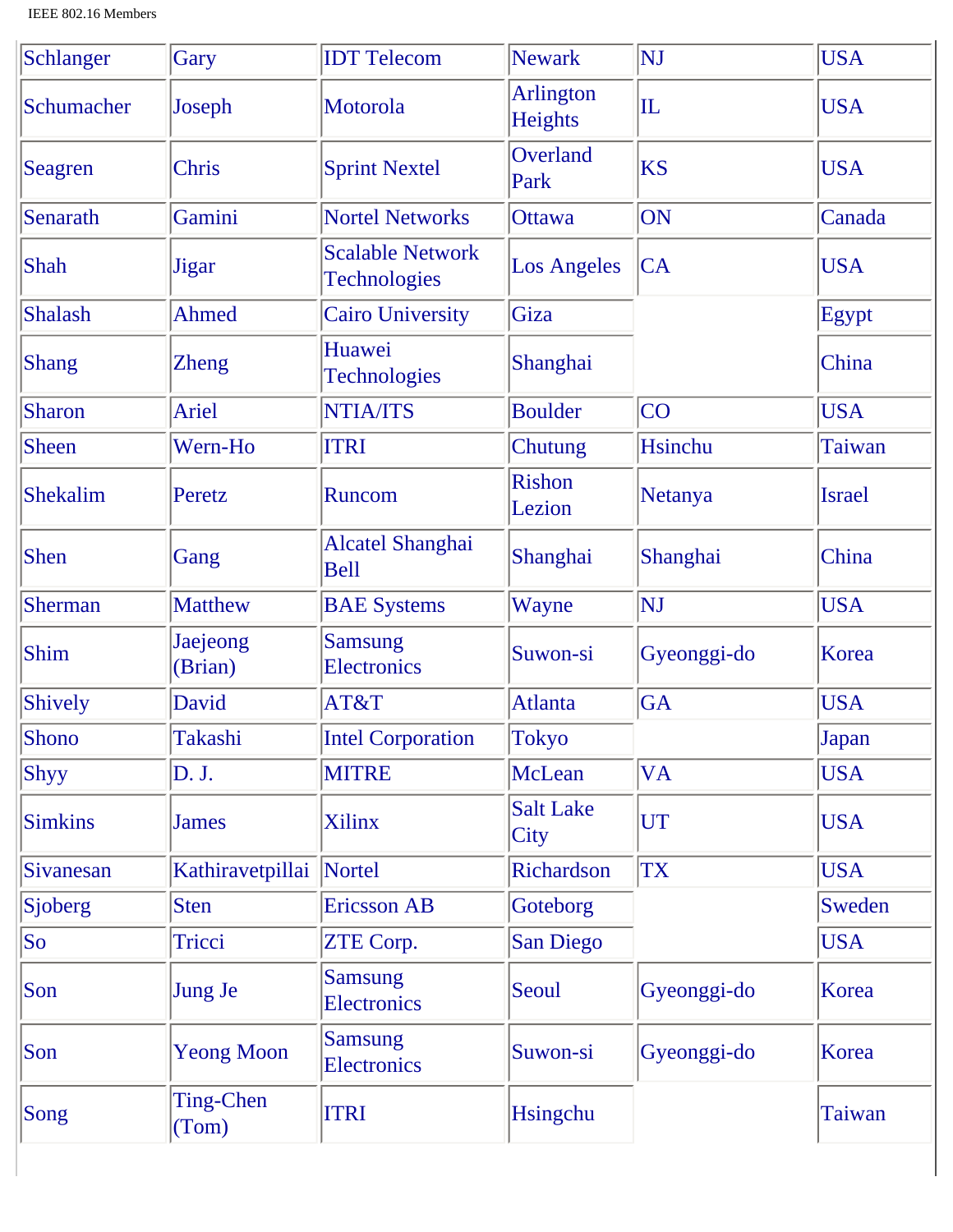| Schlanger    | Gary                | <b>IDT</b> Telecom                             | <b>Newark</b>               | NJ             | <b>USA</b>    |
|--------------|---------------------|------------------------------------------------|-----------------------------|----------------|---------------|
| Schumacher   | Joseph              | Motorola                                       | <b>Arlington</b><br>Heights | $ {\rm I\!L}$  | <b>USA</b>    |
| Seagren      | Chris               | <b>Sprint Nextel</b>                           | Overland<br>Park            | <b>KS</b>      | <b>USA</b>    |
| Senarath     | Gamini              | <b>Nortel Networks</b>                         | <b>Ottawa</b>               | ON             | Canada        |
| Shah         | <b>Jigar</b>        | <b>Scalable Network</b><br><b>Technologies</b> | <b>Los Angeles</b>          | CA             | <b>USA</b>    |
| Shalash      | Ahmed               | <b>Cairo University</b>                        | Giza                        |                | Egypt         |
| <b>Shang</b> | <b>Zheng</b>        | Huawei<br><b>Technologies</b>                  | Shanghai                    |                | China         |
| Sharon       | Ariel               | <b>NTIA/ITS</b>                                | <b>Boulder</b>              | <b>CO</b>      | <b>USA</b>    |
| <b>Sheen</b> | Wern-Ho             | <b>ITRI</b>                                    | Chutung                     | <b>Hsinchu</b> | Taiwan        |
| Shekalim     | Peretz              | Runcom                                         | Rishon<br>Lezion            | Netanya        | <b>Israel</b> |
| <b>Shen</b>  | Gang                | <b>Alcatel Shanghai</b><br><b>Bell</b>         | Shanghai                    | Shanghai       | China         |
| Sherman      | <b>Matthew</b>      | <b>BAE Systems</b>                             | Wayne                       | NJ             | <b>USA</b>    |
| Shim         | Jaejeong<br>(Brian) | <b>Samsung</b><br><b>Electronics</b>           | Suwon-si                    | Gyeonggi-do    | Korea         |
| Shively      | David               | AT&T                                           | Atlanta                     | <b>GA</b>      | <b>USA</b>    |
| Shono        | Takashi             | <b>Intel Corporation</b>                       | Tokyo                       |                | Japan         |
| <b>Shyy</b>  | D. J.               | <b>MITRE</b>                                   | McLean                      | <b>VA</b>      | <b>USA</b>    |
| Simkins      | <b>James</b>        | <b>Xilinx</b>                                  | <b>Salt Lake</b><br>City    | UT             | <b>USA</b>    |
| Sivanesan    | Kathiravetpillai    | Nortel                                         | Richardson                  | <b>TX</b>      | <b>USA</b>    |
| Sjoberg      | <b>Sten</b>         | <b>Ericsson AB</b>                             | Goteborg                    |                | Sweden        |
| $ $ So       | Tricci              | ZTE Corp.                                      | San Diego                   |                | <b>USA</b>    |
| Son          | <b>Jung Je</b>      | <b>Samsung</b><br><b>Electronics</b>           | Seoul                       | Gyeonggi-do    | Korea         |
| Son          | <b>Yeong Moon</b>   | <b>Samsung</b><br>Electronics                  | Suwon-si                    | Gyeonggi-do    | Korea         |
| Song         | Ting-Chen<br>(Tom)  | <b>ITRI</b>                                    | Hsingchu                    |                | Taiwan        |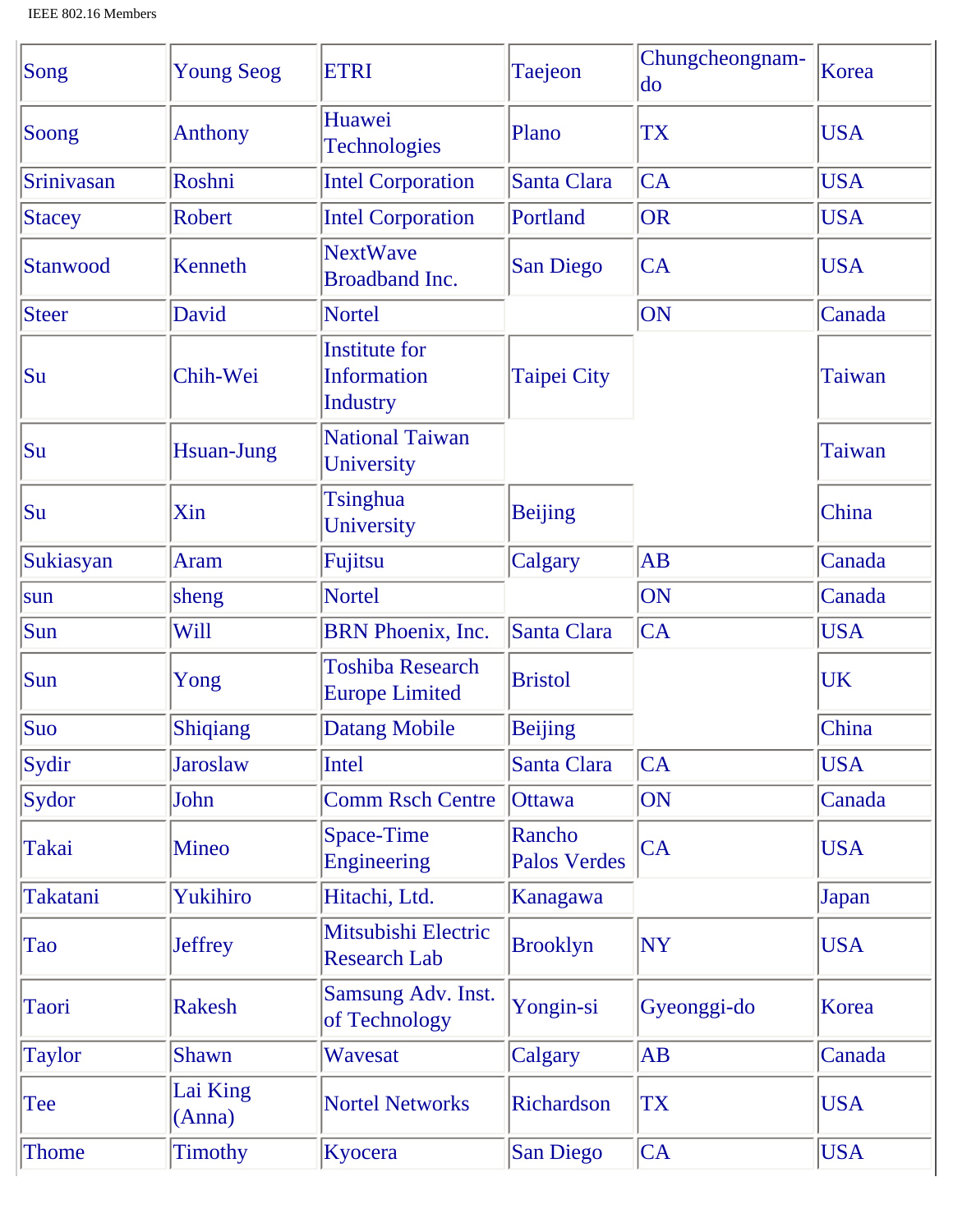| Song          | <b>Young Seog</b>  | <b>ETRI</b>                                      | Taejeon                       | Chungcheongnam-<br>$\rm{do}$ | Korea      |
|---------------|--------------------|--------------------------------------------------|-------------------------------|------------------------------|------------|
| Soong         | <b>Anthony</b>     | Huawei<br><b>Technologies</b>                    | Plano                         | <b>TX</b>                    | <b>USA</b> |
| Srinivasan    | Roshni             | <b>Intel Corporation</b>                         | Santa Clara                   | <b>CA</b>                    | <b>USA</b> |
| Stacey        | <b>Robert</b>      | <b>Intel Corporation</b>                         | Portland                      | OR                           | <b>USA</b> |
| Stanwood      | Kenneth            | <b>NextWave</b><br>Broadband Inc.                | <b>San Diego</b>              | <b>CA</b>                    | <b>USA</b> |
| Steer         | David              | <b>Nortel</b>                                    |                               | ON                           | Canada     |
| Su            | Chih-Wei           | <b>Institute for</b><br>Information<br>Industry  | <b>Taipei City</b>            |                              | Taiwan     |
| Su            | <b>Hsuan-Jung</b>  | <b>National Taiwan</b><br>University             |                               |                              | Taiwan     |
| Su            | Xin                | Tsinghua<br>University                           | <b>Beijing</b>                |                              | China      |
| Sukiasyan     | <b>Aram</b>        | Fujitsu                                          | Calgary                       | AB                           | Canada     |
| sun           | sheng              | <b>Nortel</b>                                    |                               | ON                           | Canada     |
| Sun           | Will               | BRN Phoenix, Inc.                                | Santa Clara                   | CA                           | <b>USA</b> |
| Sun           | Yong               | <b>Toshiba Research</b><br><b>Europe Limited</b> | <b>Bristol</b>                |                              | <b>UK</b>  |
| Suo           | Shiqiang           | <b>Datang Mobile</b>                             | <b>Beijing</b>                |                              | China      |
| Sydir         | <b>Jaroslaw</b>    | Intel                                            | Santa Clara                   | CA                           | <b>USA</b> |
| Sydor         | John               | <b>Comm Rsch Centre</b>                          | <b>Ottawa</b>                 | ON                           | Canada     |
| Takai         | <b>Mineo</b>       | Space-Time<br>Engineering                        | Rancho<br><b>Palos Verdes</b> | CA                           | <b>USA</b> |
| Takatani      | Yukihiro           | Hitachi, Ltd.                                    | Kanagawa                      |                              | Japan      |
| Tao           | <b>Jeffrey</b>     | Mitsubishi Electric<br><b>Research Lab</b>       | <b>Brooklyn</b>               | <b>NY</b>                    | <b>USA</b> |
| Taori         | <b>Rakesh</b>      | Samsung Adv. Inst.<br>of Technology              | Yongin-si                     | Gyeonggi-do                  | Korea      |
| <b>Taylor</b> | Shawn              | Wavesat                                          | Calgary                       | AB                           | Canada     |
| Tee           | Lai King<br>(Anna) | <b>Nortel Networks</b>                           | Richardson                    | <b>TX</b>                    | <b>USA</b> |
| Thome         | <b>Timothy</b>     | Kyocera                                          | San Diego                     | CA                           | <b>USA</b> |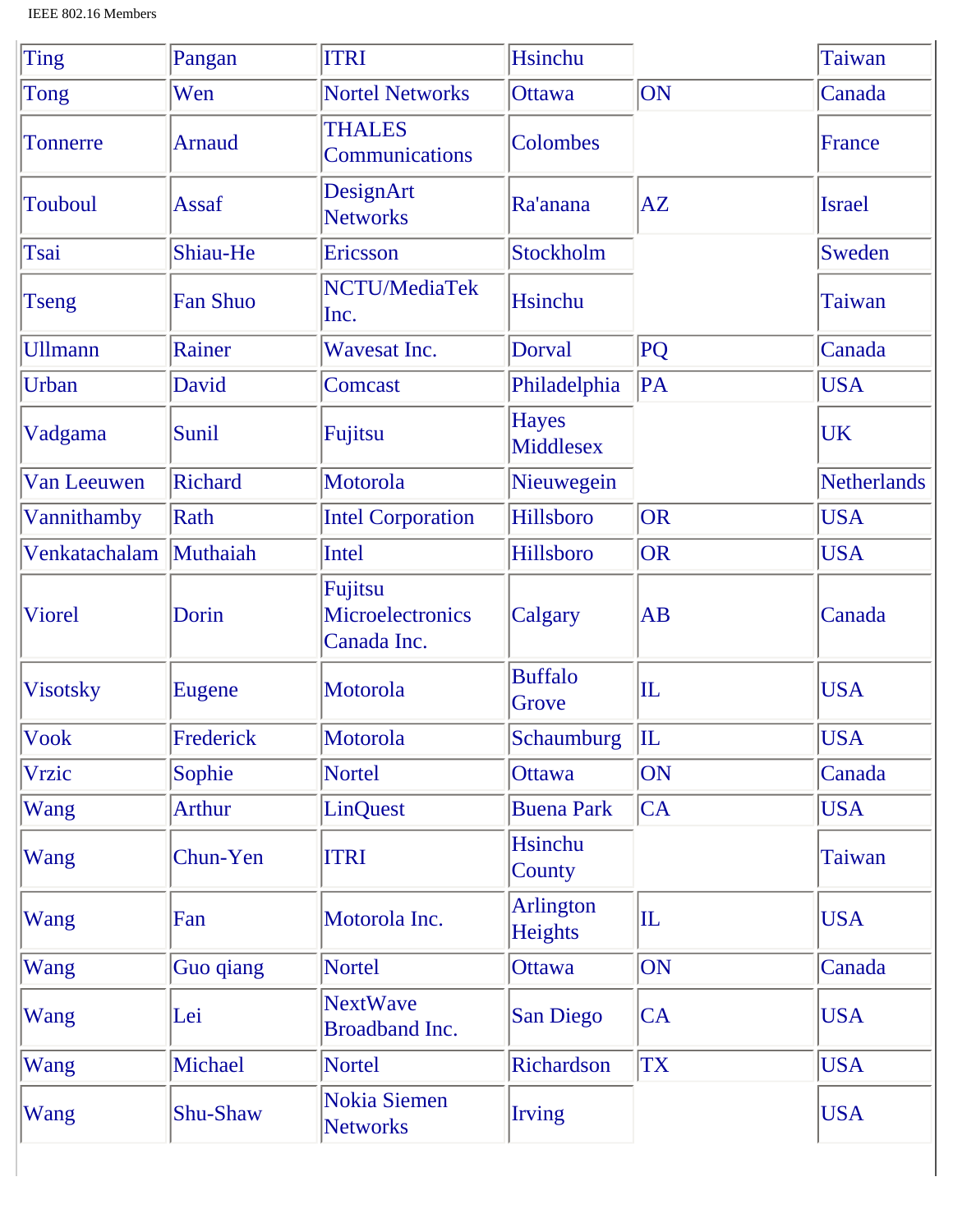| Ting            | Pangan          | <b>ITRI</b>                                       | <b>Hsinchu</b>            |              | <b>Taiwan</b> |
|-----------------|-----------------|---------------------------------------------------|---------------------------|--------------|---------------|
| Tong            | Wen             | <b>Nortel Networks</b>                            | <b>Ottawa</b>             | ON           | Canada        |
| <b>Tonnerre</b> | <b>Arnaud</b>   | <b>THALES</b><br>Communications                   | Colombes                  |              | France        |
| <b>Touboul</b>  | Assaf           | DesignArt<br><b>Networks</b>                      | Ra'anana                  | AZ           | <b>Israel</b> |
| Tsai            | Shiau-He        | Ericsson                                          | Stockholm                 |              | Sweden        |
| <b>Tseng</b>    | <b>Fan Shuo</b> | NCTU/MediaTek<br>Inc.                             | <b>Hsinchu</b>            |              | <b>Taiwan</b> |
| <b>Ullmann</b>  | Rainer          | <b>Wavesat Inc.</b>                               | <b>Dorval</b>             | PQ           | Canada        |
| Urban           | David           | Comcast                                           | Philadelphia              | PA           | <b>USA</b>    |
| Vadgama         | Sunil           | Fujitsu                                           | <b>Hayes</b><br>Middlesex |              | <b>UK</b>     |
| Van Leeuwen     | Richard         | Motorola                                          | Nieuwegein                |              | Netherlands   |
| Vannithamby     | Rath            | <b>Intel Corporation</b>                          | Hillsboro                 | OR           | <b>USA</b>    |
| Venkatachalam   | Muthaiah        | Intel                                             | Hillsboro                 | OR           | <b>USA</b>    |
| Viorel          | Dorin           | Fujitsu<br><b>Microelectronics</b><br>Canada Inc. | Calgary                   | <b>AB</b>    | Canada        |
| <b>Visotsky</b> | Eugene          | Motorola                                          | <b>Buffalo</b><br>Grove   | $ {\rm IL} $ | <b>USA</b>    |
| Vook            | Frederick       | Motorola                                          | <b>Schaumburg</b>         | $\mathbf{L}$ | <b>USA</b>    |
| <b>Vrzic</b>    | Sophie          | <b>Nortel</b>                                     | Ottawa                    | <b>ON</b>    | Canada        |
| Wang            | <b>Arthur</b>   | <b>LinQuest</b>                                   | <b>Buena Park</b>         | CA           | <b>USA</b>    |
| Wang            | Chun-Yen        | <b>ITRI</b>                                       | <b>Hsinchu</b><br>County  |              | Taiwan        |
| Wang            | Fan             | Motorola Inc.                                     | Arlington<br>Heights      | $ {\rm IL} $ | <b>USA</b>    |
| Wang            | Guo qiang       | <b>Nortel</b>                                     | Ottawa                    | <b>ON</b>    | Canada        |
| Wang            | Lei             | <b>NextWave</b><br><b>Broadband Inc.</b>          | <b>San Diego</b>          | <b>CA</b>    | <b>USA</b>    |
| Wang            | Michael         | <b>Nortel</b>                                     | Richardson                | <b>TX</b>    | <b>USA</b>    |
| Wang            | Shu-Shaw        | Nokia Siemen<br><b>Networks</b>                   | <b>Irving</b>             |              | <b>USA</b>    |

 $\overline{\phantom{a}}$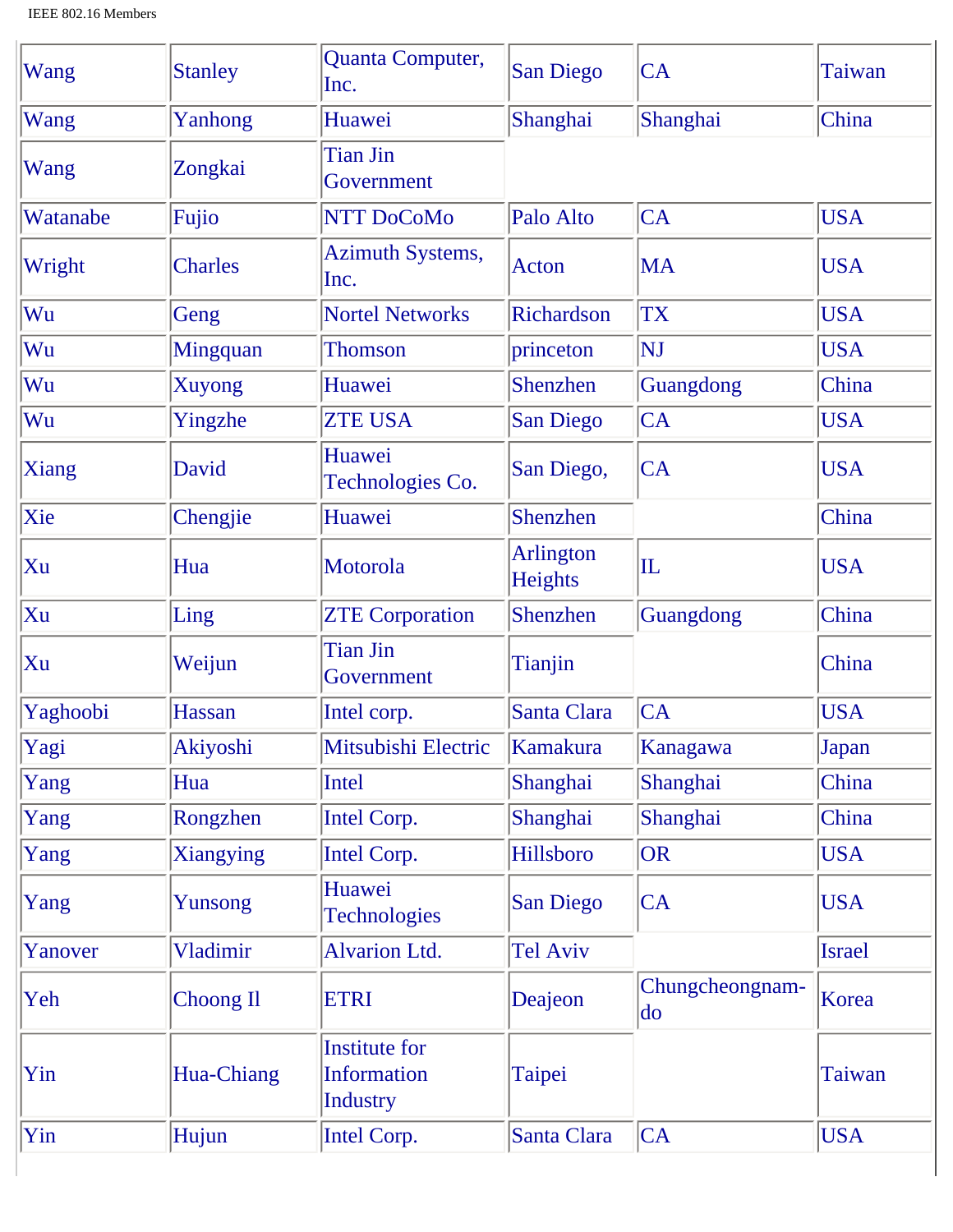| Wang         | <b>Stanley</b>   | Quanta Computer,<br>Inc.                                      | San Diego            | <b>CA</b>                    | Taiwan        |
|--------------|------------------|---------------------------------------------------------------|----------------------|------------------------------|---------------|
| Wang         | Yanhong          | Huawei                                                        | Shanghai             | Shanghai                     | China         |
| Wang         | Zongkai          | <b>Tian Jin</b><br>Government                                 |                      |                              |               |
| Watanabe     | Fujio            | NTT DoCoMo                                                    | Palo Alto            | <b>CA</b>                    | <b>USA</b>    |
| Wright       | <b>Charles</b>   | <b>Azimuth Systems,</b><br>Inc.                               | Acton                | <b>MA</b>                    | <b>USA</b>    |
| Wu           | Geng             | <b>Nortel Networks</b>                                        | Richardson           | <b>TX</b>                    | <b>USA</b>    |
| Wu           | <b>Mingquan</b>  | <b>Thomson</b>                                                | princeton            | NJ                           | <b>USA</b>    |
| Wu           | <b>Xuyong</b>    | Huawei                                                        | Shenzhen             | Guangdong                    | China         |
| Wu           | Yingzhe          | <b>ZTE USA</b>                                                | <b>San Diego</b>     | <b>CA</b>                    | <b>USA</b>    |
| <b>Xiang</b> | David            | Huawei<br>Technologies Co.                                    | San Diego,           | <b>CA</b>                    | <b>USA</b>    |
| Xie          | Chengjie         | Huawei                                                        | Shenzhen             |                              | China         |
| Xu           | Hua              | Motorola                                                      | Arlington<br>Heights | $\overline{\mathbf{L}}$      | <b>USA</b>    |
| Xu           | Ling             | <b>ZTE Corporation</b>                                        | Shenzhen             | Guangdong                    | China         |
| Xu           | Weijun           | <b>Tian Jin</b><br>Government                                 | Tianjin              |                              | China         |
| Yaghoobi     | Hassan           | Intel corp.                                                   | Santa Clara          | CA                           | <b>USA</b>    |
| Yagi         | Akiyoshi         | Mitsubishi Electric                                           | Kamakura             | Kanagawa                     | Japan         |
| Yang         | Hua              | Intel                                                         | Shanghai             | Shanghai                     | China         |
| Yang         | Rongzhen         | Intel Corp.                                                   | Shanghai             | Shanghai                     | China         |
| Yang         | Xiangying        | Intel Corp.                                                   | Hillsboro            | <b>OR</b>                    | <b>USA</b>    |
| Yang         | Yunsong          | Huawei<br><b>Technologies</b>                                 | <b>San Diego</b>     | <b>CA</b>                    | <b>USA</b>    |
| Yanover      | Vladimir         | <b>Alvarion Ltd.</b>                                          | Tel Aviv             |                              | <b>Israel</b> |
| Yeh          | <b>Choong Il</b> | <b>ETRI</b>                                                   | Deajeon              | Chungcheongnam-<br>$\rm{do}$ | Korea         |
| Yin          | Hua-Chiang       | <b>Institute for</b><br><b>Information</b><br><b>Industry</b> | Taipei               |                              | Taiwan        |
| Yin          | Hujun            | Intel Corp.                                                   | Santa Clara          | CA                           | <b>USA</b>    |
|              |                  |                                                               |                      |                              |               |